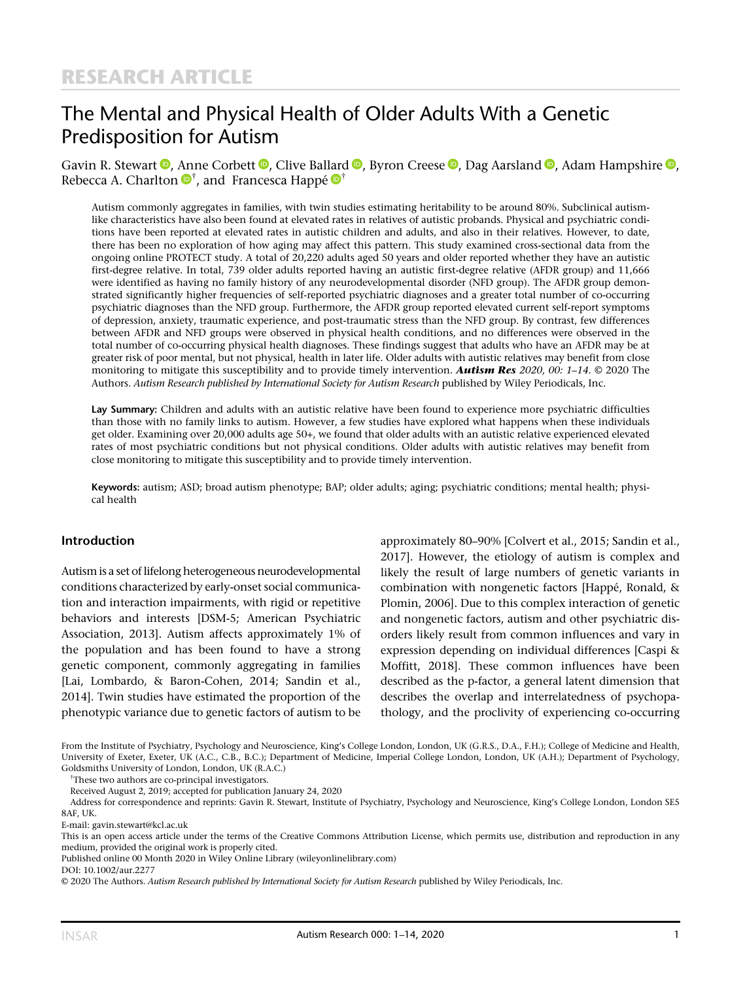# The Mental and Physical Health of Older Adults With a Genetic Predisposition for Autism

Gavin R. Stewart **D**[,](https://orcid.org/0000-0002-5176-5420) Anne Corbett **D**, Clive Ballard **D**, Byron Creese **D**, Dag Aarsland **D**, Adam Hampshire **D**, Rebecca A. Charlton  $\mathbf{\Theta}^{\dagger}$ , and Francesca Happé  $\mathbf{\Theta}^{\dagger}$ 

Autism commonly aggregates in families, with twin studies estimating heritability to be around 80%. Subclinical autismlike characteristics have also been found at elevated rates in relatives of autistic probands. Physical and psychiatric conditions have been reported at elevated rates in autistic children and adults, and also in their relatives. However, to date, there has been no exploration of how aging may affect this pattern. This study examined cross-sectional data from the ongoing online PROTECT study. A total of 20,220 adults aged 50 years and older reported whether they have an autistic first-degree relative. In total, 739 older adults reported having an autistic first-degree relative (AFDR group) and 11,666 were identified as having no family history of any neurodevelopmental disorder (NFD group). The AFDR group demonstrated significantly higher frequencies of self-reported psychiatric diagnoses and a greater total number of co-occurring psychiatric diagnoses than the NFD group. Furthermore, the AFDR group reported elevated current self-report symptoms of depression, anxiety, traumatic experience, and post-traumatic stress than the NFD group. By contrast, few differences between AFDR and NFD groups were observed in physical health conditions, and no differences were observed in the total number of co-occurring physical health diagnoses. These findings suggest that adults who have an AFDR may be at greater risk of poor mental, but not physical, health in later life. Older adults with autistic relatives may benefit from close monitoring to mitigate this susceptibility and to provide timely intervention. **Autism Res** 2020, 00: 1–14. © 2020 The Authors. Autism Research published by International Society for Autism Research published by Wiley Periodicals, Inc.

Lay Summary: Children and adults with an autistic relative have been found to experience more psychiatric difficulties than those with no family links to autism. However, a few studies have explored what happens when these individuals get older. Examining over 20,000 adults age 50+, we found that older adults with an autistic relative experienced elevated rates of most psychiatric conditions but not physical conditions. Older adults with autistic relatives may benefit from close monitoring to mitigate this susceptibility and to provide timely intervention.

Keywords: autism; ASD; broad autism phenotype; BAP; older adults; aging; psychiatric conditions; mental health; physical health

## Introduction

Autism is a set of lifelong heterogeneous neurodevelopmental conditions characterized by early-onset social communication and interaction impairments, with rigid or repetitive behaviors and interests [DSM-5; American Psychiatric Association, 2013]. Autism affects approximately 1% of the population and has been found to have a strong genetic component, commonly aggregating in families [Lai, Lombardo, & Baron-Cohen, 2014; Sandin et al., 2014]. Twin studies have estimated the proportion of the phenotypic variance due to genetic factors of autism to be

approximately 80–90% [Colvert et al., 2015; Sandin et al., 2017]. However, the etiology of autism is complex and likely the result of large numbers of genetic variants in combination with nongenetic factors [Happé, Ronald, & Plomin, 2006]. Due to this complex interaction of genetic and nongenetic factors, autism and other psychiatric disorders likely result from common influences and vary in expression depending on individual differences [Caspi & Moffitt, 2018]. These common influences have been described as the p-factor, a general latent dimension that describes the overlap and interrelatedness of psychopathology, and the proclivity of experiencing co-occurring

From the Institute of Psychiatry, Psychology and Neuroscience, King's College London, London, UK (G.R.S., D.A., F.H.); College of Medicine and Health, University of Exeter, Exeter, UK (A.C., C.B., B.C.); Department of Medicine, Imperial College London, London, UK (A.H.); Department of Psychology, Goldsmiths University of London, London, UK (R.A.C.)

† These two authors are co-principal investigators.

Received August 2, 2019; accepted for publication January 24, 2020

Address for correspondence and reprints: Gavin R. Stewart, Institute of Psychiatry, Psychology and Neuroscience, King's College London, London SE5 8AF, UK.

Published online 00 Month 2020 in Wiley Online Library (wileyonlinelibrary.com)

E-mail: [gavin.stewart@kcl.ac.uk](mailto:gavin.stewart@kcl.ac.uk)

This is an open access article under the terms of the [Creative Commons Attribution](http://creativecommons.org/licenses/by/4.0/) License, which permits use, distribution and reproduction in any medium, provided the original work is properly cited.

DOI: 10.1002/aur.2277

<sup>© 2020</sup> The Authors. Autism Research published by International Society for Autism Research published by Wiley Periodicals, Inc.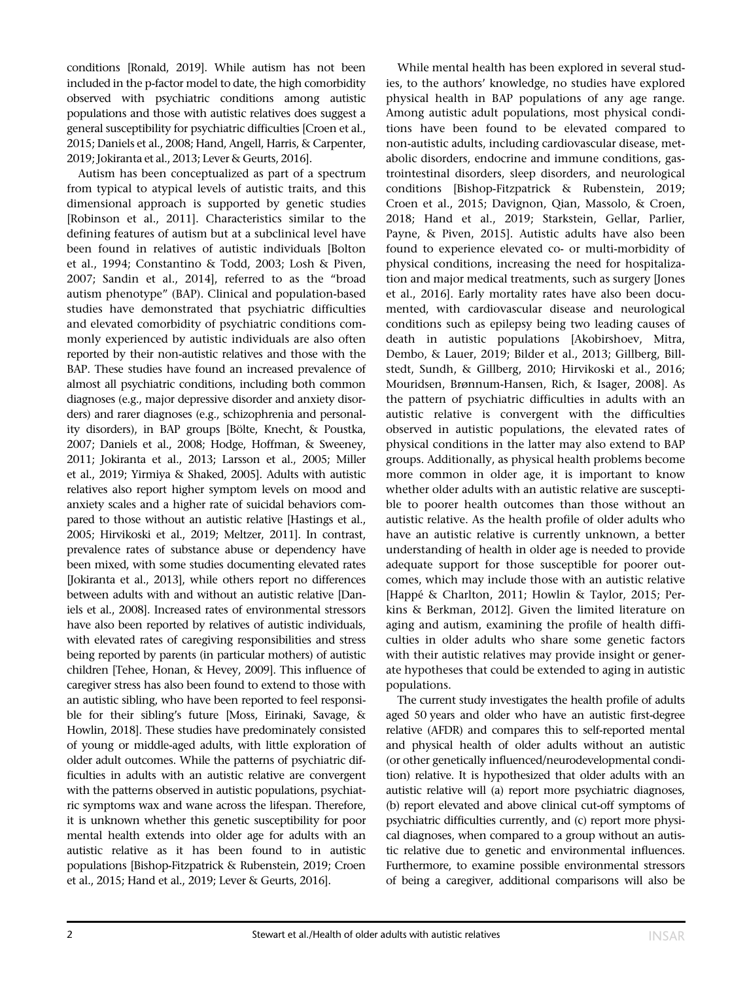conditions [Ronald, 2019]. While autism has not been included in the p-factor model to date, the high comorbidity observed with psychiatric conditions among autistic populations and those with autistic relatives does suggest a general susceptibility for psychiatric difficulties [Croen et al., 2015; Daniels et al., 2008; Hand, Angell, Harris, & Carpenter, 2019; Jokiranta et al., 2013; Lever & Geurts, 2016].

Autism has been conceptualized as part of a spectrum from typical to atypical levels of autistic traits, and this dimensional approach is supported by genetic studies [Robinson et al., 2011]. Characteristics similar to the defining features of autism but at a subclinical level have been found in relatives of autistic individuals [Bolton et al., 1994; Constantino & Todd, 2003; Losh & Piven, 2007; Sandin et al., 2014], referred to as the "broad autism phenotype" (BAP). Clinical and population-based studies have demonstrated that psychiatric difficulties and elevated comorbidity of psychiatric conditions commonly experienced by autistic individuals are also often reported by their non-autistic relatives and those with the BAP. These studies have found an increased prevalence of almost all psychiatric conditions, including both common diagnoses (e.g., major depressive disorder and anxiety disorders) and rarer diagnoses (e.g., schizophrenia and personality disorders), in BAP groups [Bölte, Knecht, & Poustka, 2007; Daniels et al., 2008; Hodge, Hoffman, & Sweeney, 2011; Jokiranta et al., 2013; Larsson et al., 2005; Miller et al., 2019; Yirmiya & Shaked, 2005]. Adults with autistic relatives also report higher symptom levels on mood and anxiety scales and a higher rate of suicidal behaviors compared to those without an autistic relative [Hastings et al., 2005; Hirvikoski et al., 2019; Meltzer, 2011]. In contrast, prevalence rates of substance abuse or dependency have been mixed, with some studies documenting elevated rates [Jokiranta et al., 2013], while others report no differences between adults with and without an autistic relative [Daniels et al., 2008]. Increased rates of environmental stressors have also been reported by relatives of autistic individuals, with elevated rates of caregiving responsibilities and stress being reported by parents (in particular mothers) of autistic children [Tehee, Honan, & Hevey, 2009]. This influence of caregiver stress has also been found to extend to those with an autistic sibling, who have been reported to feel responsible for their sibling's future [Moss, Eirinaki, Savage, & Howlin, 2018]. These studies have predominately consisted of young or middle-aged adults, with little exploration of older adult outcomes. While the patterns of psychiatric difficulties in adults with an autistic relative are convergent with the patterns observed in autistic populations, psychiatric symptoms wax and wane across the lifespan. Therefore, it is unknown whether this genetic susceptibility for poor mental health extends into older age for adults with an autistic relative as it has been found to in autistic populations [Bishop-Fitzpatrick & Rubenstein, 2019; Croen et al., 2015; Hand et al., 2019; Lever & Geurts, 2016].

While mental health has been explored in several studies, to the authors' knowledge, no studies have explored physical health in BAP populations of any age range. Among autistic adult populations, most physical conditions have been found to be elevated compared to non-autistic adults, including cardiovascular disease, metabolic disorders, endocrine and immune conditions, gastrointestinal disorders, sleep disorders, and neurological conditions [Bishop-Fitzpatrick & Rubenstein, 2019; Croen et al., 2015; Davignon, Qian, Massolo, & Croen, 2018; Hand et al., 2019; Starkstein, Gellar, Parlier, Payne, & Piven, 2015]. Autistic adults have also been found to experience elevated co- or multi-morbidity of physical conditions, increasing the need for hospitalization and major medical treatments, such as surgery [Jones et al., 2016]. Early mortality rates have also been documented, with cardiovascular disease and neurological conditions such as epilepsy being two leading causes of death in autistic populations [Akobirshoev, Mitra, Dembo, & Lauer, 2019; Bilder et al., 2013; Gillberg, Billstedt, Sundh, & Gillberg, 2010; Hirvikoski et al., 2016; Mouridsen, Brønnum-Hansen, Rich, & Isager, 2008]. As the pattern of psychiatric difficulties in adults with an autistic relative is convergent with the difficulties observed in autistic populations, the elevated rates of physical conditions in the latter may also extend to BAP groups. Additionally, as physical health problems become more common in older age, it is important to know whether older adults with an autistic relative are susceptible to poorer health outcomes than those without an autistic relative. As the health profile of older adults who have an autistic relative is currently unknown, a better understanding of health in older age is needed to provide adequate support for those susceptible for poorer outcomes, which may include those with an autistic relative [Happé & Charlton, 2011; Howlin & Taylor, 2015; Perkins & Berkman, 2012]. Given the limited literature on aging and autism, examining the profile of health difficulties in older adults who share some genetic factors with their autistic relatives may provide insight or generate hypotheses that could be extended to aging in autistic populations.

The current study investigates the health profile of adults aged 50 years and older who have an autistic first-degree relative (AFDR) and compares this to self-reported mental and physical health of older adults without an autistic (or other genetically influenced/neurodevelopmental condition) relative. It is hypothesized that older adults with an autistic relative will (a) report more psychiatric diagnoses, (b) report elevated and above clinical cut-off symptoms of psychiatric difficulties currently, and (c) report more physical diagnoses, when compared to a group without an autistic relative due to genetic and environmental influences. Furthermore, to examine possible environmental stressors of being a caregiver, additional comparisons will also be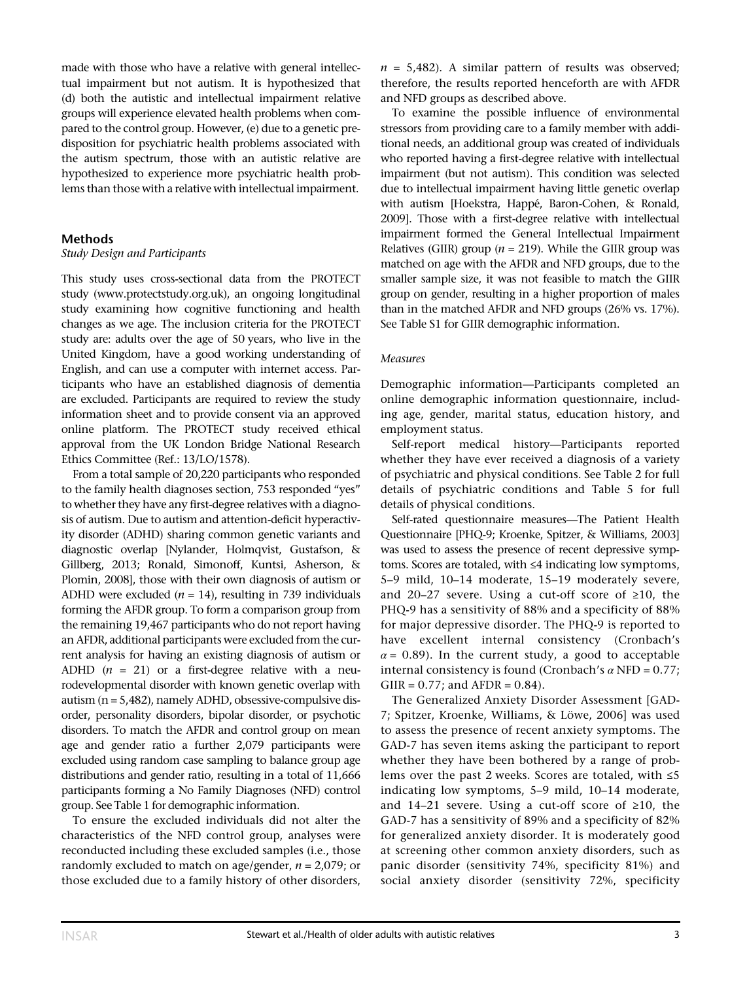made with those who have a relative with general intellectual impairment but not autism. It is hypothesized that (d) both the autistic and intellectual impairment relative groups will experience elevated health problems when compared to the control group. However, (e) due to a genetic predisposition for psychiatric health problems associated with the autism spectrum, those with an autistic relative are hypothesized to experience more psychiatric health problems than those with a relative with intellectual impairment.

#### **Methods**

## Study Design and Participants

This study uses cross-sectional data from the PROTECT study ([www.protectstudy.org.uk](http://www.protectstudy.org.uk)), an ongoing longitudinal study examining how cognitive functioning and health changes as we age. The inclusion criteria for the PROTECT study are: adults over the age of 50 years, who live in the United Kingdom, have a good working understanding of English, and can use a computer with internet access. Participants who have an established diagnosis of dementia are excluded. Participants are required to review the study information sheet and to provide consent via an approved online platform. The PROTECT study received ethical approval from the UK London Bridge National Research Ethics Committee (Ref.: 13/LO/1578).

From a total sample of 20,220 participants who responded to the family health diagnoses section, 753 responded "yes" to whether they have any first-degree relatives with a diagnosis of autism. Due to autism and attention-deficit hyperactivity disorder (ADHD) sharing common genetic variants and diagnostic overlap [Nylander, Holmqvist, Gustafson, & Gillberg, 2013; Ronald, Simonoff, Kuntsi, Asherson, & Plomin, 2008], those with their own diagnosis of autism or ADHD were excluded ( $n = 14$ ), resulting in 739 individuals forming the AFDR group. To form a comparison group from the remaining 19,467 participants who do not report having an AFDR, additional participants were excluded from the current analysis for having an existing diagnosis of autism or ADHD  $(n = 21)$  or a first-degree relative with a neurodevelopmental disorder with known genetic overlap with autism ( $n = 5,482$ ), namely ADHD, obsessive-compulsive disorder, personality disorders, bipolar disorder, or psychotic disorders. To match the AFDR and control group on mean age and gender ratio a further 2,079 participants were excluded using random case sampling to balance group age distributions and gender ratio, resulting in a total of 11,666 participants forming a No Family Diagnoses (NFD) control group. See Table 1 for demographic information.

To ensure the excluded individuals did not alter the characteristics of the NFD control group, analyses were reconducted including these excluded samples (i.e., those randomly excluded to match on age/gender,  $n = 2.079$ ; or those excluded due to a family history of other disorders,  $n = 5,482$ . A similar pattern of results was observed; therefore, the results reported henceforth are with AFDR and NFD groups as described above.

To examine the possible influence of environmental stressors from providing care to a family member with additional needs, an additional group was created of individuals who reported having a first-degree relative with intellectual impairment (but not autism). This condition was selected due to intellectual impairment having little genetic overlap with autism [Hoekstra, Happé, Baron-Cohen, & Ronald, 2009]. Those with a first-degree relative with intellectual impairment formed the General Intellectual Impairment Relatives (GIIR) group ( $n = 219$ ). While the GIIR group was matched on age with the AFDR and NFD groups, due to the smaller sample size, it was not feasible to match the GIIR group on gender, resulting in a higher proportion of males than in the matched AFDR and NFD groups (26% vs. 17%). See Table S1 for GIIR demographic information.

#### Measures

Demographic information—Participants completed an online demographic information questionnaire, including age, gender, marital status, education history, and employment status.

Self-report medical history—Participants reported whether they have ever received a diagnosis of a variety of psychiatric and physical conditions. See Table 2 for full details of psychiatric conditions and Table 5 for full details of physical conditions.

Self-rated questionnaire measures—The Patient Health Questionnaire [PHQ-9; Kroenke, Spitzer, & Williams, 2003] was used to assess the presence of recent depressive symptoms. Scores are totaled, with ≤4 indicating low symptoms, 5–9 mild, 10–14 moderate, 15–19 moderately severe, and 20–27 severe. Using a cut-off score of  $\geq 10$ , the PHQ-9 has a sensitivity of 88% and a specificity of 88% for major depressive disorder. The PHQ-9 is reported to have excellent internal consistency (Cronbach's  $\alpha$  = 0.89). In the current study, a good to acceptable internal consistency is found (Cronbach's  $\alpha$  NFD = 0.77;  $G IIR = 0.77$ ; and  $AFDR = 0.84$ ).

The Generalized Anxiety Disorder Assessment [GAD-7; Spitzer, Kroenke, Williams, & Löwe, 2006] was used to assess the presence of recent anxiety symptoms. The GAD-7 has seven items asking the participant to report whether they have been bothered by a range of problems over the past 2 weeks. Scores are totaled, with ≤5 indicating low symptoms, 5–9 mild, 10–14 moderate, and 14–21 severe. Using a cut-off score of ≥10, the GAD-7 has a sensitivity of 89% and a specificity of 82% for generalized anxiety disorder. It is moderately good at screening other common anxiety disorders, such as panic disorder (sensitivity 74%, specificity 81%) and social anxiety disorder (sensitivity 72%, specificity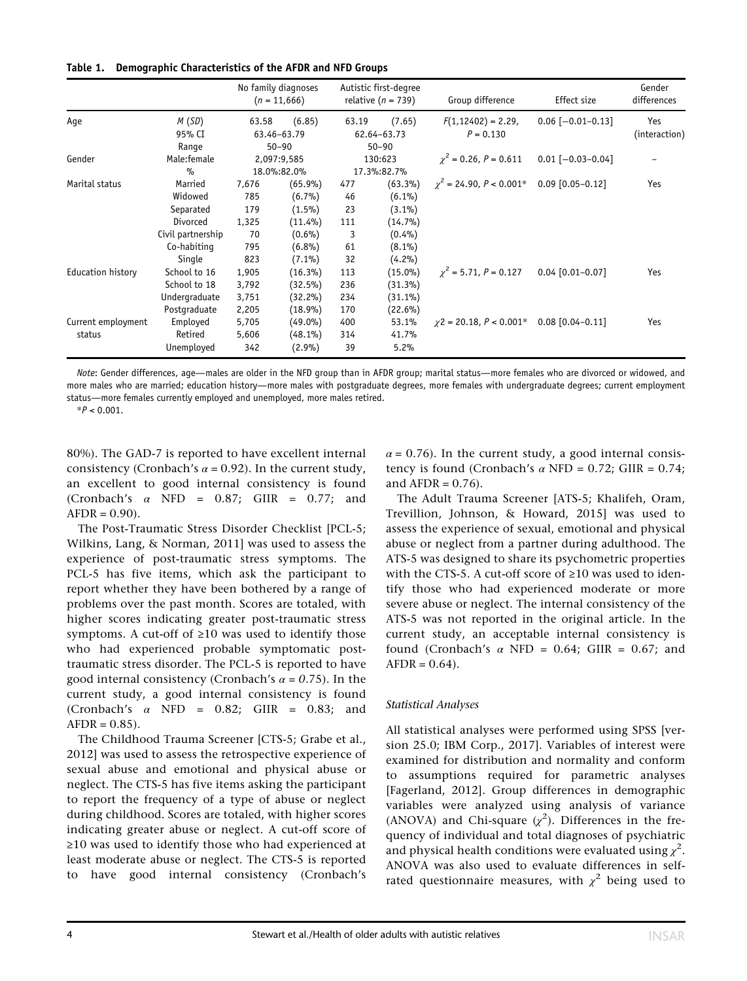|  |  | Table 1. Demographic Characteristics of the AFDR and NFD Groups |  |  |  |  |
|--|--|-----------------------------------------------------------------|--|--|--|--|
|--|--|-----------------------------------------------------------------|--|--|--|--|

|                              |                                                                                 |                                           | No family diagnoses<br>$(n = 11,666)$                                        |                                   | Autistic first-degree<br>relative ( $n = 739$ )                              | Group difference                      | Effect size            | Gender<br>differences |
|------------------------------|---------------------------------------------------------------------------------|-------------------------------------------|------------------------------------------------------------------------------|-----------------------------------|------------------------------------------------------------------------------|---------------------------------------|------------------------|-----------------------|
| Aqe                          | M(SD)<br>95% CI                                                                 | 63.58                                     | (6.85)<br>63.46-63.79                                                        | 63.19                             | (7.65)<br>62.64-63.73                                                        | $F(1, 12402) = 2.29$ ,<br>$P = 0.130$ | $0.06$ [-0.01-0.13]    | Yes                   |
|                              | Range                                                                           |                                           | $50 - 90$                                                                    |                                   | $50 - 90$                                                                    |                                       |                        | (interaction)         |
| Gender                       | Male:female<br>$\%$                                                             |                                           | 2,097:9,585<br>18.0%:82.0%                                                   |                                   | 130:623<br>17.3%:82.7%                                                       | $\gamma^2 = 0.26$ , $P = 0.611$       | $0.01$ [-0.03-0.04]    |                       |
| Marital status               | Married<br>Widowed<br>Separated<br>Divorced<br>Civil partnership<br>Co-habiting | 7,676<br>785<br>179<br>1,325<br>70<br>795 | $(65.9\%)$<br>$(6.7\%)$<br>$(1.5\%)$<br>$(11.4\%)$<br>$(0.6\%)$<br>$(6.8\%)$ | 477<br>46<br>23<br>111<br>3<br>61 | $(63.3\%)$<br>$(6.1\%)$<br>$(3.1\%)$<br>$(14.7\%)$<br>$(0.4\%)$<br>$(8.1\%)$ | $\gamma^2$ = 24.90, P < 0.001*        | $0.09$ $[0.05 - 0.12]$ | Yes                   |
| Education history            | Single<br>School to 16<br>School to 18<br>Undergraduate                         | 823<br>1,905<br>3,792<br>3,751            | $(7.1\%)$<br>$(16.3\%)$<br>$(32.5\%)$<br>$(32.2\%)$                          | 32<br>113<br>236<br>234           | (4.2%)<br>$(15.0\%)$<br>$(31.3\%)$<br>$(31.1\%)$                             | $\gamma^2$ = 5.71, P = 0.127          | $0.04$ [0.01-0.07]     | Yes                   |
| Current employment<br>status | Postgraduate<br>Employed<br>Retired<br>Unemployed                               | 2,205<br>5,705<br>5,606<br>342            | $(18.9\%)$<br>$(49.0\%)$<br>$(48.1\%)$<br>$(2.9\%)$                          | 170<br>400<br>314<br>39           | $(22.6\%)$<br>53.1%<br>41.7%<br>5.2%                                         | $\gamma$ 2 = 20.18, P < 0.001*        | $0.08$ $[0.04 - 0.11]$ | Yes                   |

Note: Gender differences, age—males are older in the NFD group than in AFDR group; marital status—more females who are divorced or widowed, and more males who are married; education history—more males with postgraduate degrees, more females with undergraduate degrees; current employment status—more females currently employed and unemployed, more males retired.

 $*P < 0.001$ 

80%). The GAD-7 is reported to have excellent internal consistency (Cronbach's  $\alpha$  = 0.92). In the current study, an excellent to good internal consistency is found (Cronbach's  $\alpha$  NFD = 0.87; GIIR = 0.77; and  $AFDR = 0.90$ .

The Post-Traumatic Stress Disorder Checklist [PCL-5; Wilkins, Lang, & Norman, 2011] was used to assess the experience of post-traumatic stress symptoms. The PCL-5 has five items, which ask the participant to report whether they have been bothered by a range of problems over the past month. Scores are totaled, with higher scores indicating greater post-traumatic stress symptoms. A cut-off of ≥10 was used to identify those who had experienced probable symptomatic posttraumatic stress disorder. The PCL-5 is reported to have good internal consistency (Cronbach's  $\alpha$  = 0.75). In the current study, a good internal consistency is found (Cronbach's  $\alpha$  NFD = 0.82; GIIR = 0.83; and  $AFDR = 0.85$ .

The Childhood Trauma Screener [CTS-5; Grabe et al., 2012] was used to assess the retrospective experience of sexual abuse and emotional and physical abuse or neglect. The CTS-5 has five items asking the participant to report the frequency of a type of abuse or neglect during childhood. Scores are totaled, with higher scores indicating greater abuse or neglect. A cut-off score of ≥10 was used to identify those who had experienced at least moderate abuse or neglect. The CTS-5 is reported to have good internal consistency (Cronbach's  $\alpha$  = 0.76). In the current study, a good internal consistency is found (Cronbach's  $\alpha$  NFD = 0.72; GIIR = 0.74; and  $AFDR = 0.76$ ).

The Adult Trauma Screener [ATS-5; Khalifeh, Oram, Trevillion, Johnson, & Howard, 2015] was used to assess the experience of sexual, emotional and physical abuse or neglect from a partner during adulthood. The ATS-5 was designed to share its psychometric properties with the CTS-5. A cut-off score of ≥10 was used to identify those who had experienced moderate or more severe abuse or neglect. The internal consistency of the ATS-5 was not reported in the original article. In the current study, an acceptable internal consistency is found (Cronbach's  $\alpha$  NFD = 0.64; GIIR = 0.67; and  $AFDR = 0.64$ .

## Statistical Analyses

All statistical analyses were performed using SPSS [version 25.0; IBM Corp., 2017]. Variables of interest were examined for distribution and normality and conform to assumptions required for parametric analyses [Fagerland, 2012]. Group differences in demographic variables were analyzed using analysis of variance (ANOVA) and Chi-square  $(\chi^2)$ . Differences in the frequency of individual and total diagnoses of psychiatric and physical health conditions were evaluated using  $\chi^2$ . ANOVA was also used to evaluate differences in selfrated questionnaire measures, with  $\chi^2$  being used to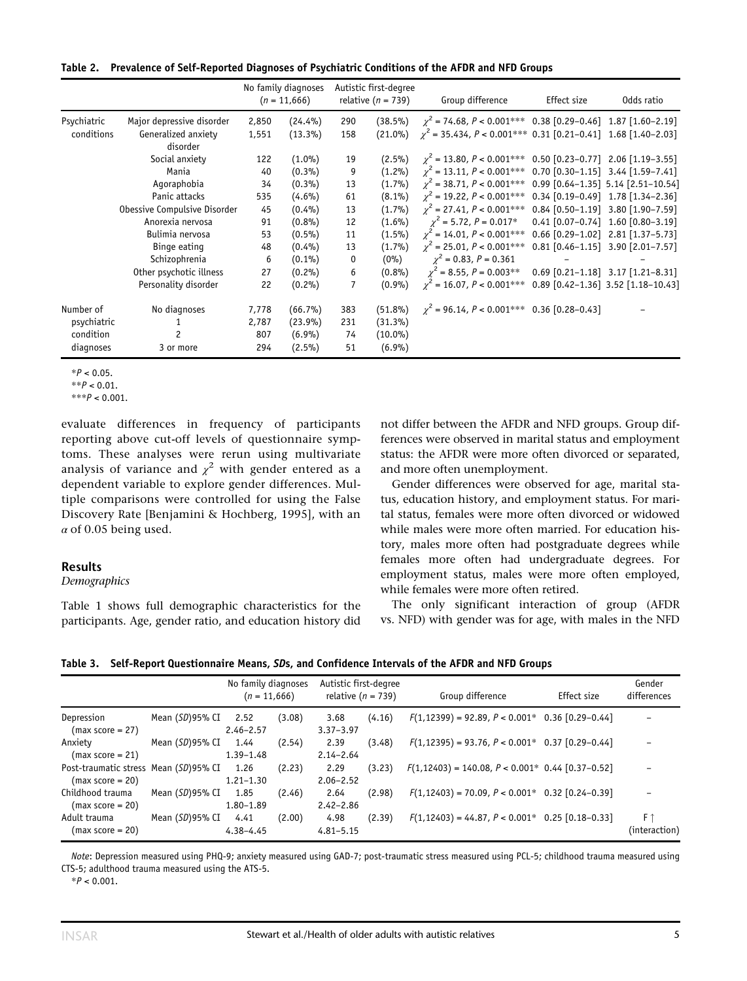|  | Table 2. Prevalence of Self-Reported Diagnoses of Psychiatric Conditions of the AFDR and NFD Groups |  |  |  |  |
|--|-----------------------------------------------------------------------------------------------------|--|--|--|--|
|--|-----------------------------------------------------------------------------------------------------|--|--|--|--|

|             |                                 |       | No family diagnoses<br>$(n = 11,666)$ |                | Autistic first-degree<br>relative $(n = 739)$ | Group difference                                                    | Effect size | Odds ratio                                  |
|-------------|---------------------------------|-------|---------------------------------------|----------------|-----------------------------------------------|---------------------------------------------------------------------|-------------|---------------------------------------------|
| Psychiatric | Major depressive disorder       | 2,850 | $(24.4\%)$                            | 290            | $(38.5\%)$                                    | $\chi^2$ = 74.68, P < 0.001*** 0.38 [0.29-0.46] 1.87 [1.60-2.19]    |             |                                             |
| conditions  | Generalized anxiety<br>disorder | 1,551 | $(13.3\%)$                            | 158            | $(21.0\%)$                                    | $\gamma^2$ = 35.434, P < 0.001*** 0.31 [0.21-0.41] 1.68 [1.40-2.03] |             |                                             |
|             | Social anxiety                  | 122   | $(1.0\%)$                             | 19             | $(2.5\%)$                                     | $\chi^2$ = 13.80, P < 0.001***                                      |             | $0.50$ $[0.23-0.77]$ 2.06 $[1.19-3.55]$     |
|             | Mania                           | 40    | $(0.3\%)$                             | 9              | $(1.2\%)$                                     | $\chi^2$ = 13.11, P < 0.001***                                      |             | $0.70$ $[0.30-1.15]$ 3.44 $[1.59-7.41]$     |
|             | Agoraphobia                     | 34    | $(0.3\%)$                             | 13             | $(1.7\%)$                                     | $\chi^2$ = 38.71, P < 0.001***                                      |             | 0.99 [0.64-1.35] 5.14 [2.51-10.54]          |
|             | Panic attacks                   | 535   | $(4.6\%)$                             | 61             | $(8.1\%)$                                     | $\chi^2$ = 19.22, P < 0.001***                                      |             | $0.34$ [0.19-0.49] 1.78 [1.34-2.36]         |
|             | Obessive Compulsive Disorder    | 45    | $(0.4\%)$                             | 13             | $(1.7\%)$                                     | $\chi^2$ = 27.41, P < 0.001***                                      |             | $0.84$ [0.50-1.19] 3.80 [1.90-7.59]         |
|             | Anorexia nervosa                | 91    | (0.8%                                 | 12             | $(1.6\%)$                                     | $\gamma^2$ = 5.72, P = 0.017*                                       |             | $0.41$ $[0.07 - 0.74]$ 1.60 $[0.80 - 3.19]$ |
|             | Bulimia nervosa                 | 53    | $(0.5\%)$                             | 11             | $(1.5\%)$                                     | $\chi^2$ = 14.01, P < 0.001***                                      |             | $0.66$ [0.29-1.02] 2.81 [1.37-5.73]         |
|             | Binge eating                    | 48    | $(0.4\%)$                             | 13             | $(1.7\%)$                                     | $\chi^2$ = 25.01, P < 0.001***                                      |             | $0.81$ $[0.46 - 1.15]$ 3.90 $[2.01 - 7.57]$ |
|             | Schizophrenia                   | 6     | $(0.1\%)$                             | 0              | $(0\%)$                                       | $\chi^2$ = 0.83, P = 0.361                                          |             |                                             |
|             | Other psychotic illness         | 27    | $(0.2\%)$                             | 6              | $(0.8\%)$                                     | $\chi^2$ = 8.55, P = 0.003**                                        |             | $0.69$ $[0.21-1.18]$ 3.17 $[1.21-8.31]$     |
|             | Personality disorder            | 22    | $(0.2\%)$                             | $\overline{7}$ | $(0.9\%)$                                     | $\gamma^2$ = 16.07, P < 0.001***                                    |             | 0.89 [0.42-1.36] 3.52 [1.18-10.43]          |
| Number of   | No diagnoses                    | 7,778 | $(66.7\%)$                            | 383            | $(51.8\%)$                                    | $\chi^2$ = 96.14, P < 0.001*** 0.36 [0.28-0.43]                     |             |                                             |
| psychiatric |                                 | 2,787 | $(23.9\%)$                            | 231            | $(31.3\%)$                                    |                                                                     |             |                                             |
| condition   | 2                               | 807   | (6.9%)                                | 74             | $(10.0\%)$                                    |                                                                     |             |                                             |
| diagnoses   | 3 or more                       | 294   | $(2.5\%)$                             | 51             | (6.9%)                                        |                                                                     |             |                                             |

 $*P < 0.05$ .

evaluate differences in frequency of participants reporting above cut-off levels of questionnaire symptoms. These analyses were rerun using multivariate analysis of variance and  $\chi^2$  with gender entered as a dependent variable to explore gender differences. Multiple comparisons were controlled for using the False Discovery Rate [Benjamini & Hochberg, 1995], with an  $\alpha$  of 0.05 being used.

#### Results

Demographics

Table 1 shows full demographic characteristics for the participants. Age, gender ratio, and education history did not differ between the AFDR and NFD groups. Group differences were observed in marital status and employment status: the AFDR were more often divorced or separated, and more often unemployment.

Gender differences were observed for age, marital status, education history, and employment status. For marital status, females were more often divorced or widowed while males were more often married. For education history, males more often had postgraduate degrees while females more often had undergraduate degrees. For employment status, males were more often employed, while females were more often retired.

The only significant interaction of group (AFDR vs. NFD) with gender was for age, with males in the NFD

Table 3. Self-Report Questionnaire Means, SDs, and Confidence Intervals of the AFDR and NFD Groups

|                                       |                    | No family diagnoses<br>$(n = 11,666)$ |        | Autistic first-degree<br>relative ( $n = 739$ ) |        | Group difference                                        | Effect size | Gender<br>differences |
|---------------------------------------|--------------------|---------------------------------------|--------|-------------------------------------------------|--------|---------------------------------------------------------|-------------|-----------------------|
| Depression                            | Mean $(SD)$ 95% CI | 2.52                                  | (3.08) | 3.68                                            | (4.16) | $F(1,12399) = 92.89$ , $P < 0.001*$ 0.36 [0.29-0.44]    |             |                       |
| $(max score = 27)$                    |                    | $2.46 - 2.57$                         |        | $3.37 - 3.97$                                   |        |                                                         |             |                       |
| Anxiety                               | Mean $(SD)$ 95% CI | 1.44                                  | (2.54) | 2.39                                            | (3.48) | $F(1, 12395) = 93.76$ , $P < 0.001$ * 0.37 [0.29-0.44]  |             |                       |
| $(max score = 21)$                    |                    | $1.39 - 1.48$                         |        | $2.14 - 2.64$                                   |        |                                                         |             |                       |
| Post-traumatic stress Mean (SD)95% CI |                    | 1.26                                  | (2.23) | 2.29                                            | (3.23) | $F(1, 12403) = 140.08$ , $P < 0.001$ * 0.44 [0.37-0.52] |             |                       |
| $(max score = 20)$                    |                    | $1.21 - 1.30$                         |        | $2.06 - 2.52$                                   |        |                                                         |             |                       |
| Childhood trauma                      | Mean (SD)95% CI    | 1.85                                  | (2.46) | 2.64                                            | (2.98) | $F(1, 12403) = 70.09$ , $P < 0.001$ * 0.32 [0.24-0.39]  |             |                       |
| $(max score = 20)$                    |                    | $1.80 - 1.89$                         |        | $2.42 - 2.86$                                   |        |                                                         |             |                       |
| Adult trauma                          | Mean (SD)95% CI    | 4.41                                  | (2.00) | 4.98                                            | (2.39) | $F(1, 12403) = 44.87$ , $P < 0.001^*$ 0.25 [0.18-0.33]  |             | $F \uparrow$          |
| $(max score = 20)$                    |                    | $4.38 - 4.45$                         |        | $4.81 - 5.15$                                   |        |                                                         |             | (interaction)         |

Note: Depression measured using PHQ-9; anxiety measured using GAD-7; post-traumatic stress measured using PCL-5; childhood trauma measured using CTS-5; adulthood trauma measured using the ATS-5.

 $*P < 0.001$ .

 $*$  $P$  < 0.01.

 $***P < 0.001$ .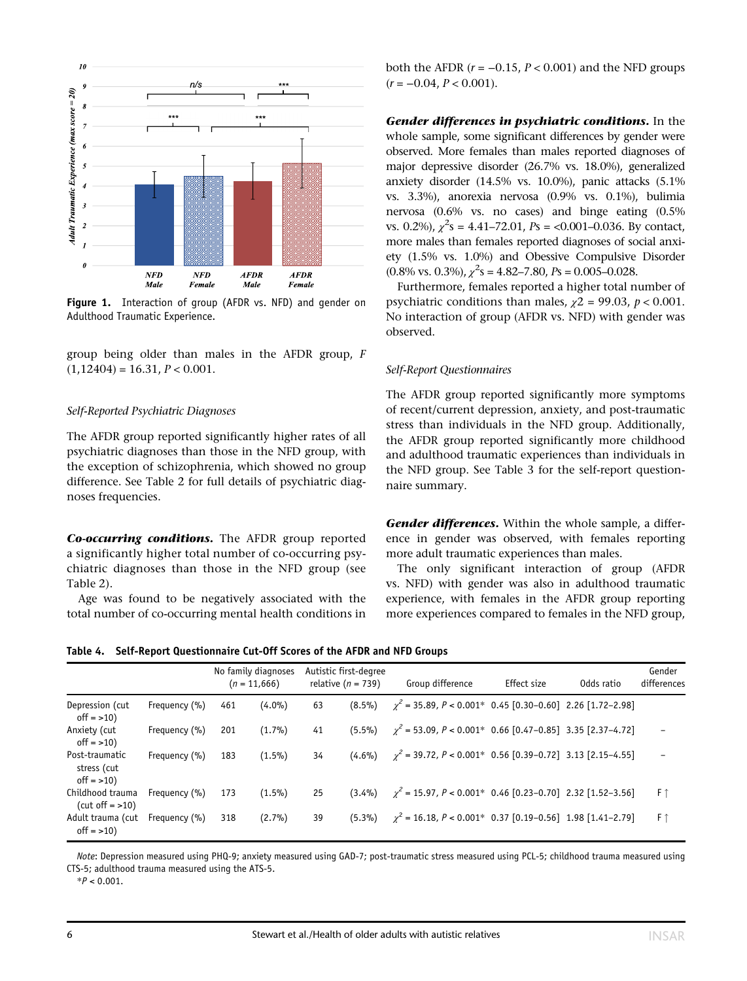

Figure 1. Interaction of group (AFDR vs. NFD) and gender on Adulthood Traumatic Experience.

group being older than males in the AFDR group, F  $(1,12404) = 16.31, P < 0.001.$ 

#### Self-Reported Psychiatric Diagnoses

The AFDR group reported significantly higher rates of all psychiatric diagnoses than those in the NFD group, with the exception of schizophrenia, which showed no group difference. See Table 2 for full details of psychiatric diagnoses frequencies.

Co-occurring conditions. The AFDR group reported a significantly higher total number of co-occurring psychiatric diagnoses than those in the NFD group (see Table 2).

Age was found to be negatively associated with the total number of co-occurring mental health conditions in

both the AFDR  $(r = -0.15, P < 0.001)$  and the NFD groups  $(r = -0.04, P < 0.001)$ .

Gender differences in psychiatric conditions. In the whole sample, some significant differences by gender were observed. More females than males reported diagnoses of major depressive disorder (26.7% vs. 18.0%), generalized anxiety disorder (14.5% vs. 10.0%), panic attacks (5.1% vs. 3.3%), anorexia nervosa (0.9% vs. 0.1%), bulimia nervosa (0.6% vs. no cases) and binge eating (0.5% vs. 0.2%),  $\chi^2$ s = 4.41–72.01, Ps = <0.001–0.036. By contact, more males than females reported diagnoses of social anxiety (1.5% vs. 1.0%) and Obessive Compulsive Disorder  $(0.8\% \text{ vs. } 0.3\%), \chi^2 \text{s} = 4.82 - 7.80, P\text{s} = 0.005 - 0.028.$ 

Furthermore, females reported a higher total number of psychiatric conditions than males,  $\chi$ 2 = 99.03,  $p$  < 0.001. No interaction of group (AFDR vs. NFD) with gender was observed.

#### Self-Report Questionnaires

The AFDR group reported significantly more symptoms of recent/current depression, anxiety, and post-traumatic stress than individuals in the NFD group. Additionally, the AFDR group reported significantly more childhood and adulthood traumatic experiences than individuals in the NFD group. See Table 3 for the self-report questionnaire summary.

Gender differences. Within the whole sample, a difference in gender was observed, with females reporting more adult traumatic experiences than males.

The only significant interaction of group (AFDR vs. NFD) with gender was also in adulthood traumatic experience, with females in the AFDR group reporting more experiences compared to females in the NFD group,

Table 4. Self-Report Questionnaire Cut-Off Scores of the AFDR and NFD Groups

|                                                |               |     | No family diagnoses<br>$(n = 11,666)$ |    | Autistic first-degree<br>relative ( $n = 739$ ) | Group difference                                                 | Effect size | Odds ratio | Gender<br>differences |
|------------------------------------------------|---------------|-----|---------------------------------------|----|-------------------------------------------------|------------------------------------------------------------------|-------------|------------|-----------------------|
| Depression (cut<br>$off = >10$                 | Frequency (%) | 461 | $(4.0\%)$                             | 63 | $(8.5\%)$                                       | $\gamma^2$ = 35.89, P < 0.001* 0.45 [0.30-0.60] 2.26 [1.72-2.98] |             |            |                       |
| Anxiety (cut<br>$off = >10$ )                  | Frequency (%) | 201 | (1.7%)                                | 41 | $(5.5\%)$                                       | $\gamma^2$ = 53.09, P < 0.001* 0.66 [0.47-0.85] 3.35 [2.37-4.72] |             |            |                       |
| Post-traumatic<br>stress (cut<br>$off = >10$ ) | Frequency (%) | 183 | $(1.5\%)$                             | 34 | $(4.6\%)$                                       | $\gamma^2$ = 39.72, P < 0.001* 0.56 [0.39-0.72] 3.13 [2.15-4.55] |             |            |                       |
| Childhood trauma<br>$(cut off = >10)$          | Frequency (%) | 173 | $(1.5\%)$                             | 25 | $(3.4\%)$                                       | $\gamma^2$ = 15.97, P < 0.001* 0.46 [0.23-0.70] 2.32 [1.52-3.56] |             |            | $F \uparrow$          |
| Adult trauma (cut<br>$off = >10$               | Frequency (%) | 318 | (2.7%)                                | 39 | $(5.3\%)$                                       | $\gamma^2$ = 16.18, P < 0.001* 0.37 [0.19-0.56] 1.98 [1.41-2.79] |             |            | $F \uparrow$          |

Note: Depression measured using PHQ-9; anxiety measured using GAD-7; post-traumatic stress measured using PCL-5; childhood trauma measured using CTS-5; adulthood trauma measured using the ATS-5.

 $*P < 0.001$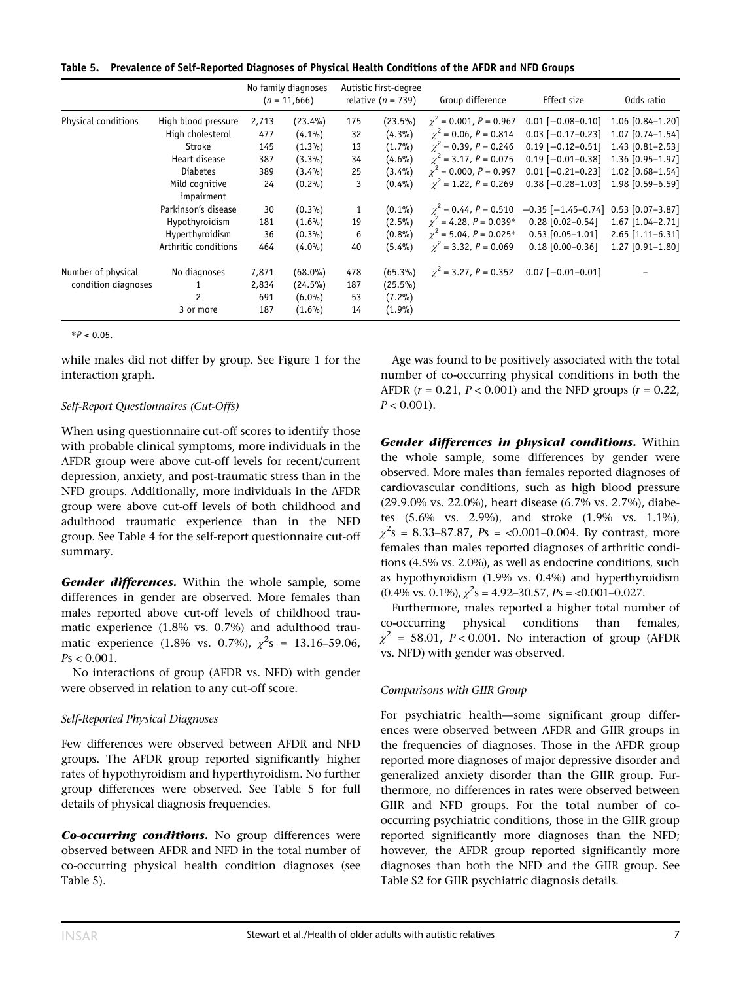Table 5. Prevalence of Self-Reported Diagnoses of Physical Health Conditions of the AFDR and NFD Groups

|                     |                              |       | No family diagnoses<br>$(n = 11,666)$ |     | Autistic first-degree<br>relative ( $n = 739$ ) | Group difference                | Effect size              | Odds ratio         |
|---------------------|------------------------------|-------|---------------------------------------|-----|-------------------------------------------------|---------------------------------|--------------------------|--------------------|
| Physical conditions | High blood pressure          | 2,713 | $(23.4\%)$                            | 175 | $(23.5\%)$                                      | $\gamma^2$ = 0.001, P = 0.967   | $0.01$ [-0.08-0.10]      | $1.06$ [0.84-1.20] |
|                     | High cholesterol             | 477   | $(4.1\%)$                             | 32  | (4.3%)                                          | $\gamma^2$ = 0.06, P = 0.814    | $0.03$ [-0.17-0.23]      | 1.07 [0.74-1.54]   |
|                     | Stroke                       | 145   | $(1.3\%)$                             | 13  | $(1.7\%)$                                       | $\gamma^2$ = 0.39, P = 0.246    | $0.19$ [-0.12-0.51]      | 1.43 [0.81-2.53]   |
|                     | Heart disease                | 387   | $(3.3\%)$                             | 34  | $(4.6\%)$                                       | $\gamma^2$ = 3.17, P = 0.075    | $0.19$ [-0.01-0.38]      | 1.36 [0.95-1.97]   |
|                     | <b>Diabetes</b>              | 389   | $(3.4\%)$                             | 25  | $(3.4\%)$                                       | $\chi^2$ = 0.000, P = 0.997     | $0.01$ [-0.21-0.23]      | 1.02 [0.68-1.54]   |
|                     | Mild cognitive<br>impairment | 24    | $(0.2\%)$                             | 3   | $(0.4\%)$                                       | $\gamma^2$ = 1.22, P = 0.269    | $0.38$ $[-0.28 - 1.03]$  | 1.98 [0.59-6.59]   |
|                     | Parkinson's disease          | 30    | $(0.3\%)$                             | 1   | $(0.1\%)$                                       | $\gamma^2 = 0.44$ , $P = 0.510$ | $-0.35$ [ $-1.45-0.74$ ] | $0.53$ [0.07-3.87] |
|                     | Hypothyroidism               | 181   | $(1.6\%)$                             | 19  | $(2.5\%)$                                       | $\gamma^2$ = 4.28, P = 0.039*   | $0.28$ [0.02-0.54]       | $1.67$ [1.04-2.71] |
|                     | Hyperthyroidism              | 36    | $(0.3\%)$                             | 6   | $(0.8\%)$                                       | $\chi^2$ = 5.04, P = 0.025*     | $0.53$ $[0.05 - 1.01]$   | 2.65 [1.11-6.31]   |
|                     | Arthritic conditions         | 464   | $(4.0\%)$                             | 40  | $(5.4\%)$                                       | $\chi^2$ = 3.32, P = 0.069      | $0.18$ $[0.00 - 0.36]$   | $1.27$ [0.91-1.80] |
| Number of physical  | No diagnoses                 | 7,871 | $(68.0\%)$                            | 478 | $(65.3\%)$                                      | $\gamma^2$ = 3.27, P = 0.352    | $0.07$ $[-0.01 - 0.01]$  |                    |
| condition diagnoses |                              | 2,834 | $(24.5\%)$                            | 187 | $(25.5\%)$                                      |                                 |                          |                    |
|                     | 2                            | 691   | $(6.0\%)$                             | 53  | $(7.2\%)$                                       |                                 |                          |                    |
|                     | 3 or more                    | 187   | $(1.6\%)$                             | 14  | $(1.9\%)$                                       |                                 |                          |                    |

 $*P < 0.05$ .

while males did not differ by group. See Figure 1 for the interaction graph.

#### Self-Report Questionnaires (Cut-Offs)

When using questionnaire cut-off scores to identify those with probable clinical symptoms, more individuals in the AFDR group were above cut-off levels for recent/current depression, anxiety, and post-traumatic stress than in the NFD groups. Additionally, more individuals in the AFDR group were above cut-off levels of both childhood and adulthood traumatic experience than in the NFD group. See Table 4 for the self-report questionnaire cut-off summary.

Gender differences. Within the whole sample, some differences in gender are observed. More females than males reported above cut-off levels of childhood traumatic experience (1.8% vs. 0.7%) and adulthood traumatic experience (1.8% vs. 0.7%),  $\chi^2$ s = 13.16–59.06,  $Ps < 0.001$ .

No interactions of group (AFDR vs. NFD) with gender were observed in relation to any cut-off score.

## Self-Reported Physical Diagnoses

Few differences were observed between AFDR and NFD groups. The AFDR group reported significantly higher rates of hypothyroidism and hyperthyroidism. No further group differences were observed. See Table 5 for full details of physical diagnosis frequencies.

Co-occurring conditions. No group differences were observed between AFDR and NFD in the total number of co-occurring physical health condition diagnoses (see Table 5).

Age was found to be positively associated with the total number of co-occurring physical conditions in both the AFDR ( $r = 0.21$ ,  $P < 0.001$ ) and the NFD groups ( $r = 0.22$ ),  $P < 0.001$ ).

Gender differences in physical conditions. Within the whole sample, some differences by gender were observed. More males than females reported diagnoses of cardiovascular conditions, such as high blood pressure (29.9.0% vs. 22.0%), heart disease (6.7% vs. 2.7%), diabetes (5.6% vs. 2.9%), and stroke (1.9% vs. 1.1%),  $\chi^2$ s = 8.33–87.87, Ps = <0.001–0.004. By contrast, more females than males reported diagnoses of arthritic conditions (4.5% vs. 2.0%), as well as endocrine conditions, such as hypothyroidism (1.9% vs. 0.4%) and hyperthyroidism  $(0.4\% \text{ vs. } 0.1\%), \chi^2 \text{s} = 4.92 - 30.57, \gamma = 0.001 - 0.027.$ 

Furthermore, males reported a higher total number of co-occurring physical conditions than females,  $\chi^2$  = 58.01, P < 0.001. No interaction of group (AFDR vs. NFD) with gender was observed.

## Comparisons with GIIR Group

For psychiatric health—some significant group differences were observed between AFDR and GIIR groups in the frequencies of diagnoses. Those in the AFDR group reported more diagnoses of major depressive disorder and generalized anxiety disorder than the GIIR group. Furthermore, no differences in rates were observed between GIIR and NFD groups. For the total number of cooccurring psychiatric conditions, those in the GIIR group reported significantly more diagnoses than the NFD; however, the AFDR group reported significantly more diagnoses than both the NFD and the GIIR group. See Table S2 for GIIR psychiatric diagnosis details.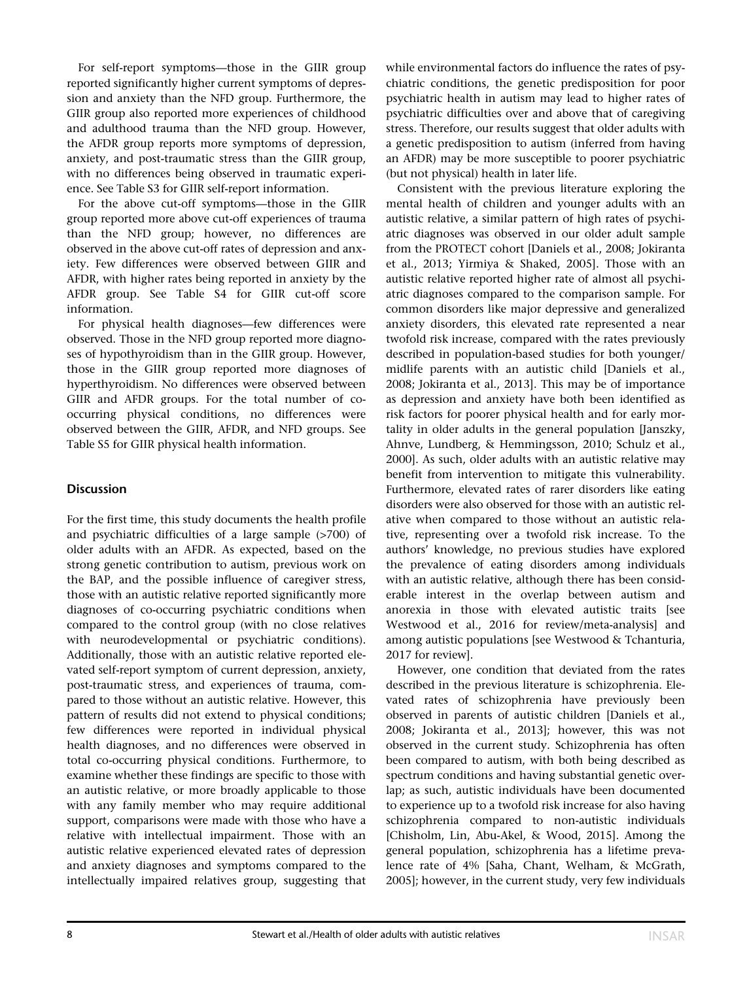For self-report symptoms—those in the GIIR group reported significantly higher current symptoms of depression and anxiety than the NFD group. Furthermore, the GIIR group also reported more experiences of childhood and adulthood trauma than the NFD group. However, the AFDR group reports more symptoms of depression, anxiety, and post-traumatic stress than the GIIR group, with no differences being observed in traumatic experience. See Table S3 for GIIR self-report information.

For the above cut-off symptoms—those in the GIIR group reported more above cut-off experiences of trauma than the NFD group; however, no differences are observed in the above cut-off rates of depression and anxiety. Few differences were observed between GIIR and AFDR, with higher rates being reported in anxiety by the AFDR group. See Table S4 for GIIR cut-off score information.

For physical health diagnoses—few differences were observed. Those in the NFD group reported more diagnoses of hypothyroidism than in the GIIR group. However, those in the GIIR group reported more diagnoses of hyperthyroidism. No differences were observed between GIIR and AFDR groups. For the total number of cooccurring physical conditions, no differences were observed between the GIIR, AFDR, and NFD groups. See Table S5 for GIIR physical health information.

# **Discussion**

For the first time, this study documents the health profile and psychiatric difficulties of a large sample (>700) of older adults with an AFDR. As expected, based on the strong genetic contribution to autism, previous work on the BAP, and the possible influence of caregiver stress, those with an autistic relative reported significantly more diagnoses of co-occurring psychiatric conditions when compared to the control group (with no close relatives with neurodevelopmental or psychiatric conditions). Additionally, those with an autistic relative reported elevated self-report symptom of current depression, anxiety, post-traumatic stress, and experiences of trauma, compared to those without an autistic relative. However, this pattern of results did not extend to physical conditions; few differences were reported in individual physical health diagnoses, and no differences were observed in total co-occurring physical conditions. Furthermore, to examine whether these findings are specific to those with an autistic relative, or more broadly applicable to those with any family member who may require additional support, comparisons were made with those who have a relative with intellectual impairment. Those with an autistic relative experienced elevated rates of depression and anxiety diagnoses and symptoms compared to the intellectually impaired relatives group, suggesting that while environmental factors do influence the rates of psychiatric conditions, the genetic predisposition for poor psychiatric health in autism may lead to higher rates of psychiatric difficulties over and above that of caregiving stress. Therefore, our results suggest that older adults with a genetic predisposition to autism (inferred from having an AFDR) may be more susceptible to poorer psychiatric (but not physical) health in later life.

Consistent with the previous literature exploring the mental health of children and younger adults with an autistic relative, a similar pattern of high rates of psychiatric diagnoses was observed in our older adult sample from the PROTECT cohort [Daniels et al., 2008; Jokiranta et al., 2013; Yirmiya & Shaked, 2005]. Those with an autistic relative reported higher rate of almost all psychiatric diagnoses compared to the comparison sample. For common disorders like major depressive and generalized anxiety disorders, this elevated rate represented a near twofold risk increase, compared with the rates previously described in population-based studies for both younger/ midlife parents with an autistic child [Daniels et al., 2008; Jokiranta et al., 2013]. This may be of importance as depression and anxiety have both been identified as risk factors for poorer physical health and for early mortality in older adults in the general population [Janszky, Ahnve, Lundberg, & Hemmingsson, 2010; Schulz et al., 2000]. As such, older adults with an autistic relative may benefit from intervention to mitigate this vulnerability. Furthermore, elevated rates of rarer disorders like eating disorders were also observed for those with an autistic relative when compared to those without an autistic relative, representing over a twofold risk increase. To the authors' knowledge, no previous studies have explored the prevalence of eating disorders among individuals with an autistic relative, although there has been considerable interest in the overlap between autism and anorexia in those with elevated autistic traits [see Westwood et al., 2016 for review/meta-analysis] and among autistic populations [see Westwood & Tchanturia, 2017 for review].

However, one condition that deviated from the rates described in the previous literature is schizophrenia. Elevated rates of schizophrenia have previously been observed in parents of autistic children [Daniels et al., 2008; Jokiranta et al., 2013]; however, this was not observed in the current study. Schizophrenia has often been compared to autism, with both being described as spectrum conditions and having substantial genetic overlap; as such, autistic individuals have been documented to experience up to a twofold risk increase for also having schizophrenia compared to non-autistic individuals [Chisholm, Lin, Abu-Akel, & Wood, 2015]. Among the general population, schizophrenia has a lifetime prevalence rate of 4% [Saha, Chant, Welham, & McGrath, 2005]; however, in the current study, very few individuals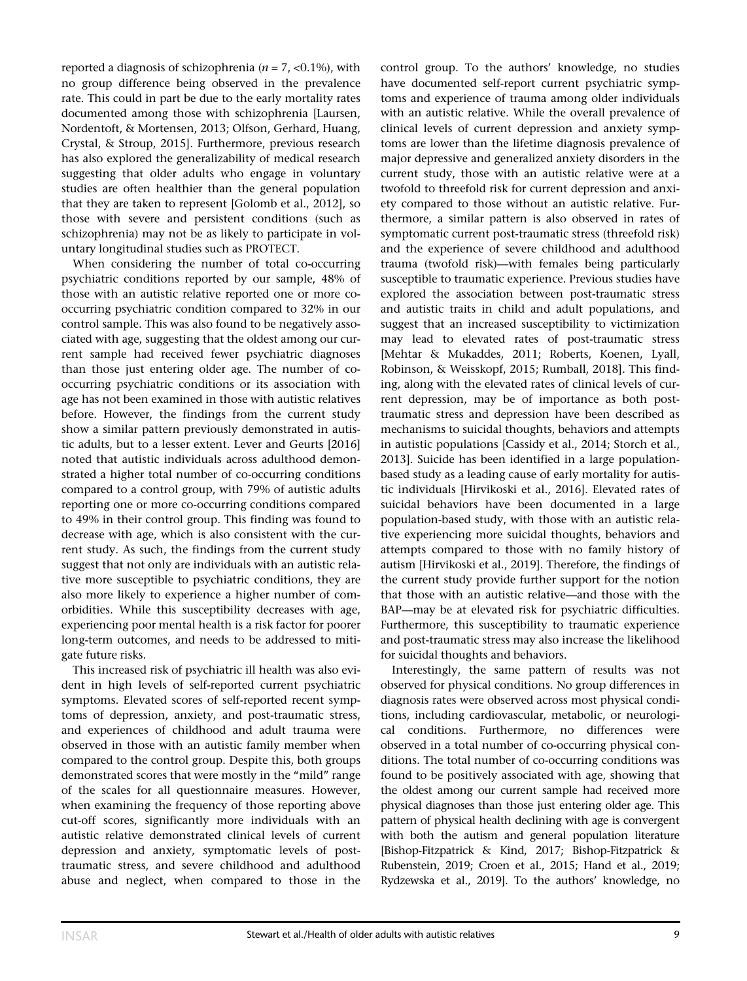reported a diagnosis of schizophrenia ( $n = 7$ , <0.1%), with no group difference being observed in the prevalence rate. This could in part be due to the early mortality rates documented among those with schizophrenia [Laursen, Nordentoft, & Mortensen, 2013; Olfson, Gerhard, Huang, Crystal, & Stroup, 2015]. Furthermore, previous research has also explored the generalizability of medical research suggesting that older adults who engage in voluntary studies are often healthier than the general population that they are taken to represent [Golomb et al., 2012], so those with severe and persistent conditions (such as schizophrenia) may not be as likely to participate in voluntary longitudinal studies such as PROTECT.

When considering the number of total co-occurring psychiatric conditions reported by our sample, 48% of those with an autistic relative reported one or more cooccurring psychiatric condition compared to 32% in our control sample. This was also found to be negatively associated with age, suggesting that the oldest among our current sample had received fewer psychiatric diagnoses than those just entering older age. The number of cooccurring psychiatric conditions or its association with age has not been examined in those with autistic relatives before. However, the findings from the current study show a similar pattern previously demonstrated in autistic adults, but to a lesser extent. Lever and Geurts [2016] noted that autistic individuals across adulthood demonstrated a higher total number of co-occurring conditions compared to a control group, with 79% of autistic adults reporting one or more co-occurring conditions compared to 49% in their control group. This finding was found to decrease with age, which is also consistent with the current study. As such, the findings from the current study suggest that not only are individuals with an autistic relative more susceptible to psychiatric conditions, they are also more likely to experience a higher number of comorbidities. While this susceptibility decreases with age, experiencing poor mental health is a risk factor for poorer long-term outcomes, and needs to be addressed to mitigate future risks.

This increased risk of psychiatric ill health was also evident in high levels of self-reported current psychiatric symptoms. Elevated scores of self-reported recent symptoms of depression, anxiety, and post-traumatic stress, and experiences of childhood and adult trauma were observed in those with an autistic family member when compared to the control group. Despite this, both groups demonstrated scores that were mostly in the "mild" range of the scales for all questionnaire measures. However, when examining the frequency of those reporting above cut-off scores, significantly more individuals with an autistic relative demonstrated clinical levels of current depression and anxiety, symptomatic levels of posttraumatic stress, and severe childhood and adulthood abuse and neglect, when compared to those in the

control group. To the authors' knowledge, no studies have documented self-report current psychiatric symptoms and experience of trauma among older individuals with an autistic relative. While the overall prevalence of clinical levels of current depression and anxiety symptoms are lower than the lifetime diagnosis prevalence of major depressive and generalized anxiety disorders in the current study, those with an autistic relative were at a twofold to threefold risk for current depression and anxiety compared to those without an autistic relative. Furthermore, a similar pattern is also observed in rates of symptomatic current post-traumatic stress (threefold risk) and the experience of severe childhood and adulthood trauma (twofold risk)—with females being particularly susceptible to traumatic experience. Previous studies have explored the association between post-traumatic stress and autistic traits in child and adult populations, and suggest that an increased susceptibility to victimization may lead to elevated rates of post-traumatic stress [Mehtar & Mukaddes, 2011; Roberts, Koenen, Lyall, Robinson, & Weisskopf, 2015; Rumball, 2018]. This finding, along with the elevated rates of clinical levels of current depression, may be of importance as both posttraumatic stress and depression have been described as mechanisms to suicidal thoughts, behaviors and attempts in autistic populations [Cassidy et al., 2014; Storch et al., 2013]. Suicide has been identified in a large populationbased study as a leading cause of early mortality for autistic individuals [Hirvikoski et al., 2016]. Elevated rates of suicidal behaviors have been documented in a large population-based study, with those with an autistic relative experiencing more suicidal thoughts, behaviors and attempts compared to those with no family history of autism [Hirvikoski et al., 2019]. Therefore, the findings of the current study provide further support for the notion that those with an autistic relative—and those with the BAP—may be at elevated risk for psychiatric difficulties. Furthermore, this susceptibility to traumatic experience and post-traumatic stress may also increase the likelihood for suicidal thoughts and behaviors.

Interestingly, the same pattern of results was not observed for physical conditions. No group differences in diagnosis rates were observed across most physical conditions, including cardiovascular, metabolic, or neurological conditions. Furthermore, no differences were observed in a total number of co-occurring physical conditions. The total number of co-occurring conditions was found to be positively associated with age, showing that the oldest among our current sample had received more physical diagnoses than those just entering older age. This pattern of physical health declining with age is convergent with both the autism and general population literature [Bishop-Fitzpatrick & Kind, 2017; Bishop-Fitzpatrick & Rubenstein, 2019; Croen et al., 2015; Hand et al., 2019; Rydzewska et al., 2019]. To the authors' knowledge, no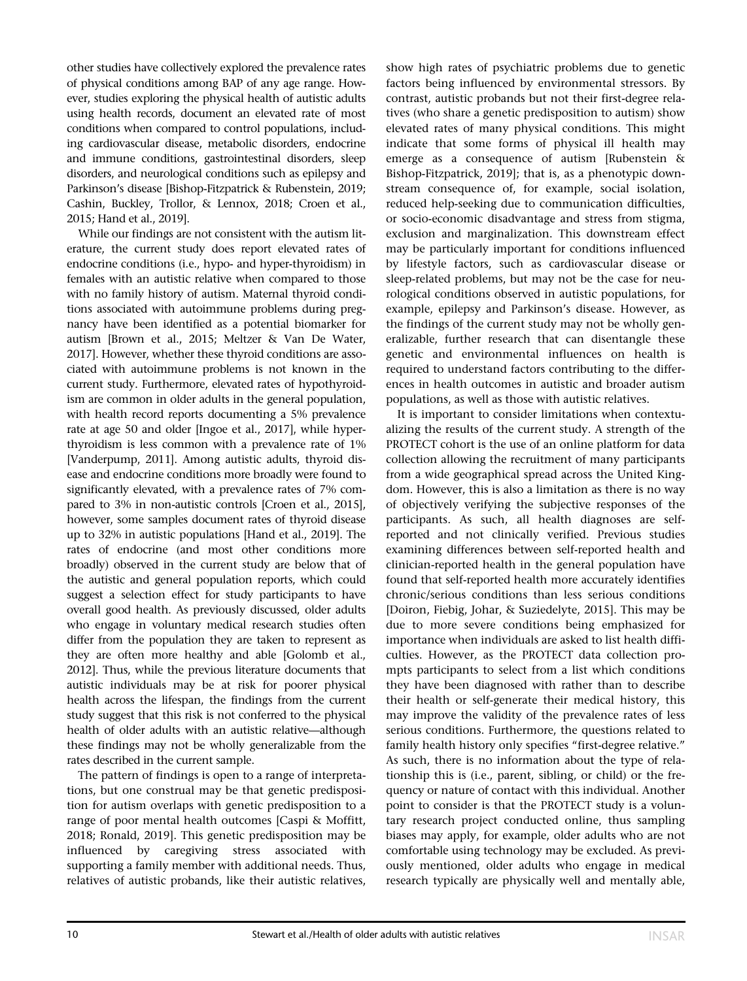other studies have collectively explored the prevalence rates of physical conditions among BAP of any age range. However, studies exploring the physical health of autistic adults using health records, document an elevated rate of most conditions when compared to control populations, including cardiovascular disease, metabolic disorders, endocrine and immune conditions, gastrointestinal disorders, sleep disorders, and neurological conditions such as epilepsy and Parkinson's disease [Bishop-Fitzpatrick & Rubenstein, 2019; Cashin, Buckley, Trollor, & Lennox, 2018; Croen et al., 2015; Hand et al., 2019].

While our findings are not consistent with the autism literature, the current study does report elevated rates of endocrine conditions (i.e., hypo- and hyper-thyroidism) in females with an autistic relative when compared to those with no family history of autism. Maternal thyroid conditions associated with autoimmune problems during pregnancy have been identified as a potential biomarker for autism [Brown et al., 2015; Meltzer & Van De Water, 2017]. However, whether these thyroid conditions are associated with autoimmune problems is not known in the current study. Furthermore, elevated rates of hypothyroidism are common in older adults in the general population, with health record reports documenting a 5% prevalence rate at age 50 and older [Ingoe et al., 2017], while hyperthyroidism is less common with a prevalence rate of 1% [Vanderpump, 2011]. Among autistic adults, thyroid disease and endocrine conditions more broadly were found to significantly elevated, with a prevalence rates of 7% compared to 3% in non-autistic controls [Croen et al., 2015], however, some samples document rates of thyroid disease up to 32% in autistic populations [Hand et al., 2019]. The rates of endocrine (and most other conditions more broadly) observed in the current study are below that of the autistic and general population reports, which could suggest a selection effect for study participants to have overall good health. As previously discussed, older adults who engage in voluntary medical research studies often differ from the population they are taken to represent as they are often more healthy and able [Golomb et al., 2012]. Thus, while the previous literature documents that autistic individuals may be at risk for poorer physical health across the lifespan, the findings from the current study suggest that this risk is not conferred to the physical health of older adults with an autistic relative—although these findings may not be wholly generalizable from the rates described in the current sample.

The pattern of findings is open to a range of interpretations, but one construal may be that genetic predisposition for autism overlaps with genetic predisposition to a range of poor mental health outcomes [Caspi & Moffitt, 2018; Ronald, 2019]. This genetic predisposition may be influenced by caregiving stress associated with supporting a family member with additional needs. Thus, relatives of autistic probands, like their autistic relatives, show high rates of psychiatric problems due to genetic factors being influenced by environmental stressors. By contrast, autistic probands but not their first-degree relatives (who share a genetic predisposition to autism) show elevated rates of many physical conditions. This might indicate that some forms of physical ill health may emerge as a consequence of autism [Rubenstein & Bishop-Fitzpatrick, 2019]; that is, as a phenotypic downstream consequence of, for example, social isolation, reduced help-seeking due to communication difficulties, or socio-economic disadvantage and stress from stigma, exclusion and marginalization. This downstream effect may be particularly important for conditions influenced by lifestyle factors, such as cardiovascular disease or sleep-related problems, but may not be the case for neurological conditions observed in autistic populations, for example, epilepsy and Parkinson's disease. However, as the findings of the current study may not be wholly generalizable, further research that can disentangle these genetic and environmental influences on health is required to understand factors contributing to the differences in health outcomes in autistic and broader autism populations, as well as those with autistic relatives.

It is important to consider limitations when contextualizing the results of the current study. A strength of the PROTECT cohort is the use of an online platform for data collection allowing the recruitment of many participants from a wide geographical spread across the United Kingdom. However, this is also a limitation as there is no way of objectively verifying the subjective responses of the participants. As such, all health diagnoses are selfreported and not clinically verified. Previous studies examining differences between self-reported health and clinician-reported health in the general population have found that self-reported health more accurately identifies chronic/serious conditions than less serious conditions [Doiron, Fiebig, Johar, & Suziedelyte, 2015]. This may be due to more severe conditions being emphasized for importance when individuals are asked to list health difficulties. However, as the PROTECT data collection prompts participants to select from a list which conditions they have been diagnosed with rather than to describe their health or self-generate their medical history, this may improve the validity of the prevalence rates of less serious conditions. Furthermore, the questions related to family health history only specifies "first-degree relative." As such, there is no information about the type of relationship this is (i.e., parent, sibling, or child) or the frequency or nature of contact with this individual. Another point to consider is that the PROTECT study is a voluntary research project conducted online, thus sampling biases may apply, for example, older adults who are not comfortable using technology may be excluded. As previously mentioned, older adults who engage in medical research typically are physically well and mentally able,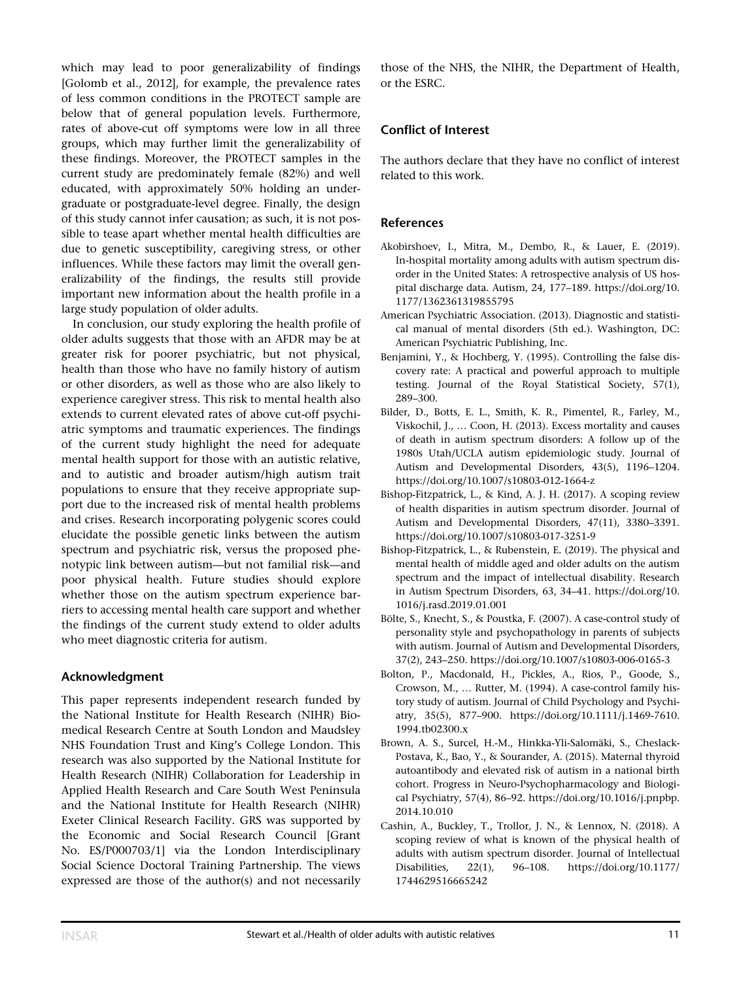which may lead to poor generalizability of findings [Golomb et al., 2012], for example, the prevalence rates of less common conditions in the PROTECT sample are below that of general population levels. Furthermore, rates of above-cut off symptoms were low in all three groups, which may further limit the generalizability of these findings. Moreover, the PROTECT samples in the current study are predominately female (82%) and well educated, with approximately 50% holding an undergraduate or postgraduate-level degree. Finally, the design of this study cannot infer causation; as such, it is not possible to tease apart whether mental health difficulties are due to genetic susceptibility, caregiving stress, or other influences. While these factors may limit the overall generalizability of the findings, the results still provide important new information about the health profile in a large study population of older adults.

In conclusion, our study exploring the health profile of older adults suggests that those with an AFDR may be at greater risk for poorer psychiatric, but not physical, health than those who have no family history of autism or other disorders, as well as those who are also likely to experience caregiver stress. This risk to mental health also extends to current elevated rates of above cut-off psychiatric symptoms and traumatic experiences. The findings of the current study highlight the need for adequate mental health support for those with an autistic relative, and to autistic and broader autism/high autism trait populations to ensure that they receive appropriate support due to the increased risk of mental health problems and crises. Research incorporating polygenic scores could elucidate the possible genetic links between the autism spectrum and psychiatric risk, versus the proposed phenotypic link between autism—but not familial risk—and poor physical health. Future studies should explore whether those on the autism spectrum experience barriers to accessing mental health care support and whether the findings of the current study extend to older adults who meet diagnostic criteria for autism.

## Acknowledgment

This paper represents independent research funded by the National Institute for Health Research (NIHR) Biomedical Research Centre at South London and Maudsley NHS Foundation Trust and King's College London. This research was also supported by the National Institute for Health Research (NIHR) Collaboration for Leadership in Applied Health Research and Care South West Peninsula and the National Institute for Health Research (NIHR) Exeter Clinical Research Facility. GRS was supported by the Economic and Social Research Council [Grant No. ES/P000703/1] via the London Interdisciplinary Social Science Doctoral Training Partnership. The views expressed are those of the author(s) and not necessarily

those of the NHS, the NIHR, the Department of Health, or the ESRC.

# Conflict of Interest

The authors declare that they have no conflict of interest related to this work.

## **References**

- Akobirshoev, I., Mitra, M., Dembo, R., & Lauer, E. (2019). In-hospital mortality among adults with autism spectrum disorder in the United States: A retrospective analysis of US hospital discharge data. Autism, 24, 177–189. [https://doi.org/10.](https://doi.org/10.1177/1362361319855795) [1177/1362361319855795](https://doi.org/10.1177/1362361319855795)
- American Psychiatric Association. (2013). Diagnostic and statistical manual of mental disorders (5th ed.). Washington, DC: American Psychiatric Publishing, Inc.
- Benjamini, Y., & Hochberg, Y. (1995). Controlling the false discovery rate: A practical and powerful approach to multiple testing. Journal of the Royal Statistical Society, 57(1), 289–300.
- Bilder, D., Botts, E. L., Smith, K. R., Pimentel, R., Farley, M., Viskochil, J., … Coon, H. (2013). Excess mortality and causes of death in autism spectrum disorders: A follow up of the 1980s Utah/UCLA autism epidemiologic study. Journal of Autism and Developmental Disorders, 43(5), 1196–1204. <https://doi.org/10.1007/s10803-012-1664-z>
- Bishop-Fitzpatrick, L., & Kind, A. J. H. (2017). A scoping review of health disparities in autism spectrum disorder. Journal of Autism and Developmental Disorders, 47(11), 3380–3391. <https://doi.org/10.1007/s10803-017-3251-9>
- Bishop-Fitzpatrick, L., & Rubenstein, E. (2019). The physical and mental health of middle aged and older adults on the autism spectrum and the impact of intellectual disability. Research in Autism Spectrum Disorders, 63, 34–41. [https://doi.org/10.](https://doi.org/10.1016/j.rasd.2019.01.001) [1016/j.rasd.2019.01.001](https://doi.org/10.1016/j.rasd.2019.01.001)
- Bölte, S., Knecht, S., & Poustka, F. (2007). A case-control study of personality style and psychopathology in parents of subjects with autism. Journal of Autism and Developmental Disorders, 37(2), 243–250.<https://doi.org/10.1007/s10803-006-0165-3>
- Bolton, P., Macdonald, H., Pickles, A., Rios, P., Goode, S., Crowson, M., … Rutter, M. (1994). A case-control family history study of autism. Journal of Child Psychology and Psychiatry, 35(5), 877–900. [https://doi.org/10.1111/j.1469-7610.](https://doi.org/10.1111/j.1469-7610.1994.tb02300.x) [1994.tb02300.x](https://doi.org/10.1111/j.1469-7610.1994.tb02300.x)
- Brown, A. S., Surcel, H.-M., Hinkka-Yli-Salomäki, S., Cheslack-Postava, K., Bao, Y., & Sourander, A. (2015). Maternal thyroid autoantibody and elevated risk of autism in a national birth cohort. Progress in Neuro-Psychopharmacology and Biological Psychiatry, 57(4), 86–92. [https://doi.org/10.1016/j.pnpbp.](https://doi.org/10.1016/j.pnpbp.2014.10.010) [2014.10.010](https://doi.org/10.1016/j.pnpbp.2014.10.010)
- Cashin, A., Buckley, T., Trollor, J. N., & Lennox, N. (2018). A scoping review of what is known of the physical health of adults with autism spectrum disorder. Journal of Intellectual Disabilities, 22(1), 96–108. [https://doi.org/10.1177/](https://doi.org/10.1177/1744629516665242) [1744629516665242](https://doi.org/10.1177/1744629516665242)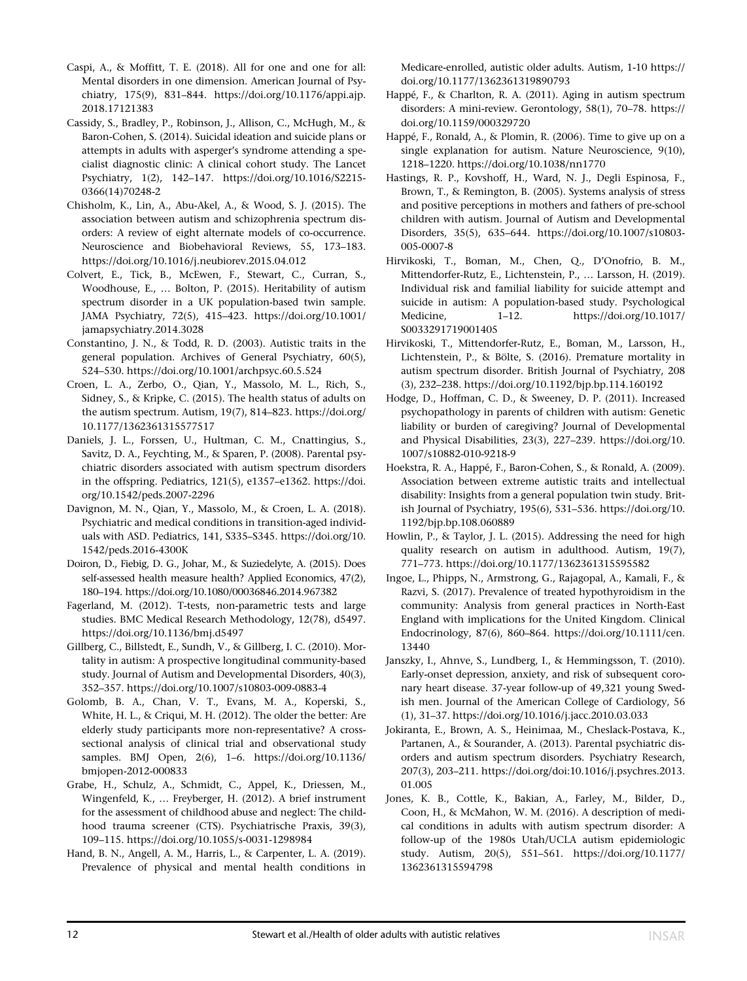- Caspi, A., & Moffitt, T. E. (2018). All for one and one for all: Mental disorders in one dimension. American Journal of Psychiatry, 175(9), 831–844. [https://doi.org/10.1176/appi.ajp.](https://doi.org/10.1176/appi.ajp.2018.17121383) [2018.17121383](https://doi.org/10.1176/appi.ajp.2018.17121383)
- Cassidy, S., Bradley, P., Robinson, J., Allison, C., McHugh, M., & Baron-Cohen, S. (2014). Suicidal ideation and suicide plans or attempts in adults with asperger's syndrome attending a specialist diagnostic clinic: A clinical cohort study. The Lancet Psychiatry, 1(2), 142–147. [https://doi.org/10.1016/S2215-](https://doi.org/10.1016/S2215-0366(14)70248-2) [0366\(14\)70248-2](https://doi.org/10.1016/S2215-0366(14)70248-2)
- Chisholm, K., Lin, A., Abu-Akel, A., & Wood, S. J. (2015). The association between autism and schizophrenia spectrum disorders: A review of eight alternate models of co-occurrence. Neuroscience and Biobehavioral Reviews, 55, 173–183. <https://doi.org/10.1016/j.neubiorev.2015.04.012>
- Colvert, E., Tick, B., McEwen, F., Stewart, C., Curran, S., Woodhouse, E., … Bolton, P. (2015). Heritability of autism spectrum disorder in a UK population-based twin sample. JAMA Psychiatry, 72(5), 415–423. [https://doi.org/10.1001/](https://doi.org/10.1001/jamapsychiatry.2014.3028) [jamapsychiatry.2014.3028](https://doi.org/10.1001/jamapsychiatry.2014.3028)
- Constantino, J. N., & Todd, R. D. (2003). Autistic traits in the general population. Archives of General Psychiatry, 60(5), 524–530.<https://doi.org/10.1001/archpsyc.60.5.524>
- Croen, L. A., Zerbo, O., Qian, Y., Massolo, M. L., Rich, S., Sidney, S., & Kripke, C. (2015). The health status of adults on the autism spectrum. Autism, 19(7), 814–823. [https://doi.org/](https://doi.org/10.1177/1362361315577517) [10.1177/1362361315577517](https://doi.org/10.1177/1362361315577517)
- Daniels, J. L., Forssen, U., Hultman, C. M., Cnattingius, S., Savitz, D. A., Feychting, M., & Sparen, P. (2008). Parental psychiatric disorders associated with autism spectrum disorders in the offspring. Pediatrics, 121(5), e1357–e1362. [https://doi.](https://doi.org/10.1542/peds.2007-2296) [org/10.1542/peds.2007-2296](https://doi.org/10.1542/peds.2007-2296)
- Davignon, M. N., Qian, Y., Massolo, M., & Croen, L. A. (2018). Psychiatric and medical conditions in transition-aged individuals with ASD. Pediatrics, 141, S335–S345. [https://doi.org/10.](https://doi.org/10.1542/peds.2016-4300K) [1542/peds.2016-4300K](https://doi.org/10.1542/peds.2016-4300K)
- Doiron, D., Fiebig, D. G., Johar, M., & Suziedelyte, A. (2015). Does self-assessed health measure health? Applied Economics, 47(2), 180–194.<https://doi.org/10.1080/00036846.2014.967382>
- Fagerland, M. (2012). T-tests, non-parametric tests and large studies. BMC Medical Research Methodology, 12(78), d5497. <https://doi.org/10.1136/bmj.d5497>
- Gillberg, C., Billstedt, E., Sundh, V., & Gillberg, I. C. (2010). Mortality in autism: A prospective longitudinal community-based study. Journal of Autism and Developmental Disorders, 40(3), 352–357.<https://doi.org/10.1007/s10803-009-0883-4>
- Golomb, B. A., Chan, V. T., Evans, M. A., Koperski, S., White, H. L., & Criqui, M. H. (2012). The older the better: Are elderly study participants more non-representative? A crosssectional analysis of clinical trial and observational study samples. BMJ Open, 2(6), 1–6. [https://doi.org/10.1136/](https://doi.org/10.1136/bmjopen-2012-000833) [bmjopen-2012-000833](https://doi.org/10.1136/bmjopen-2012-000833)
- Grabe, H., Schulz, A., Schmidt, C., Appel, K., Driessen, M., Wingenfeld, K., … Freyberger, H. (2012). A brief instrument for the assessment of childhood abuse and neglect: The childhood trauma screener (CTS). Psychiatrische Praxis, 39(3), 109–115.<https://doi.org/10.1055/s-0031-1298984>
- Hand, B. N., Angell, A. M., Harris, L., & Carpenter, L. A. (2019). Prevalence of physical and mental health conditions in

Medicare-enrolled, autistic older adults. Autism, 1-10 [https://](https://doi.org/10.1177/1362361319890793) [doi.org/10.1177/1362361319890793](https://doi.org/10.1177/1362361319890793)

- Happé, F., & Charlton, R. A. (2011). Aging in autism spectrum disorders: A mini-review. Gerontology, 58(1), 70–78. [https://](https://doi.org/10.1159/000329720) [doi.org/10.1159/000329720](https://doi.org/10.1159/000329720)
- Happé, F., Ronald, A., & Plomin, R. (2006). Time to give up on a single explanation for autism. Nature Neuroscience, 9(10), 1218–1220.<https://doi.org/10.1038/nn1770>
- Hastings, R. P., Kovshoff, H., Ward, N. J., Degli Espinosa, F., Brown, T., & Remington, B. (2005). Systems analysis of stress and positive perceptions in mothers and fathers of pre-school children with autism. Journal of Autism and Developmental Disorders, 35(5), 635–644. [https://doi.org/10.1007/s10803-](https://doi.org/10.1007/s10803-005-0007-8) [005-0007-8](https://doi.org/10.1007/s10803-005-0007-8)
- Hirvikoski, T., Boman, M., Chen, Q., D'Onofrio, B. M., Mittendorfer-Rutz, E., Lichtenstein, P., … Larsson, H. (2019). Individual risk and familial liability for suicide attempt and suicide in autism: A population-based study. Psychological Medicine, 1–12. [https://doi.org/10.1017/](https://doi.org/10.1017/S0033291719001405) [S0033291719001405](https://doi.org/10.1017/S0033291719001405)
- Hirvikoski, T., Mittendorfer-Rutz, E., Boman, M., Larsson, H., Lichtenstein, P., & Bölte, S. (2016). Premature mortality in autism spectrum disorder. British Journal of Psychiatry, 208 (3), 232–238.<https://doi.org/10.1192/bjp.bp.114.160192>
- Hodge, D., Hoffman, C. D., & Sweeney, D. P. (2011). Increased psychopathology in parents of children with autism: Genetic liability or burden of caregiving? Journal of Developmental and Physical Disabilities, 23(3), 227–239. [https://doi.org/10.](https://doi.org/10.1007/s10882-010-9218-9) [1007/s10882-010-9218-9](https://doi.org/10.1007/s10882-010-9218-9)
- Hoekstra, R. A., Happé, F., Baron-Cohen, S., & Ronald, A. (2009). Association between extreme autistic traits and intellectual disability: Insights from a general population twin study. British Journal of Psychiatry, 195(6), 531–536. [https://doi.org/10.](https://doi.org/10.1192/bjp.bp.108.060889) [1192/bjp.bp.108.060889](https://doi.org/10.1192/bjp.bp.108.060889)
- Howlin, P., & Taylor, J. L. (2015). Addressing the need for high quality research on autism in adulthood. Autism, 19(7), 771–773.<https://doi.org/10.1177/1362361315595582>
- Ingoe, L., Phipps, N., Armstrong, G., Rajagopal, A., Kamali, F., & Razvi, S. (2017). Prevalence of treated hypothyroidism in the community: Analysis from general practices in North-East England with implications for the United Kingdom. Clinical Endocrinology, 87(6), 860–864. [https://doi.org/10.1111/cen.](https://doi.org/10.1111/cen.13440) [13440](https://doi.org/10.1111/cen.13440)
- Janszky, I., Ahnve, S., Lundberg, I., & Hemmingsson, T. (2010). Early-onset depression, anxiety, and risk of subsequent coronary heart disease. 37-year follow-up of 49,321 young Swedish men. Journal of the American College of Cardiology, 56 (1), 31–37.<https://doi.org/10.1016/j.jacc.2010.03.033>
- Jokiranta, E., Brown, A. S., Heinimaa, M., Cheslack-Postava, K., Partanen, A., & Sourander, A. (2013). Parental psychiatric disorders and autism spectrum disorders. Psychiatry Research, 207(3), 203–211. [https://doi.org/doi:10.1016/j.psychres.2013.](https://doi.org/doi:10.1016/j.psychres.2013.01.005) [01.005](https://doi.org/doi:10.1016/j.psychres.2013.01.005)
- Jones, K. B., Cottle, K., Bakian, A., Farley, M., Bilder, D., Coon, H., & McMahon, W. M. (2016). A description of medical conditions in adults with autism spectrum disorder: A follow-up of the 1980s Utah/UCLA autism epidemiologic study. Autism, 20(5), 551–561. [https://doi.org/10.1177/](https://doi.org/10.1177/1362361315594798) [1362361315594798](https://doi.org/10.1177/1362361315594798)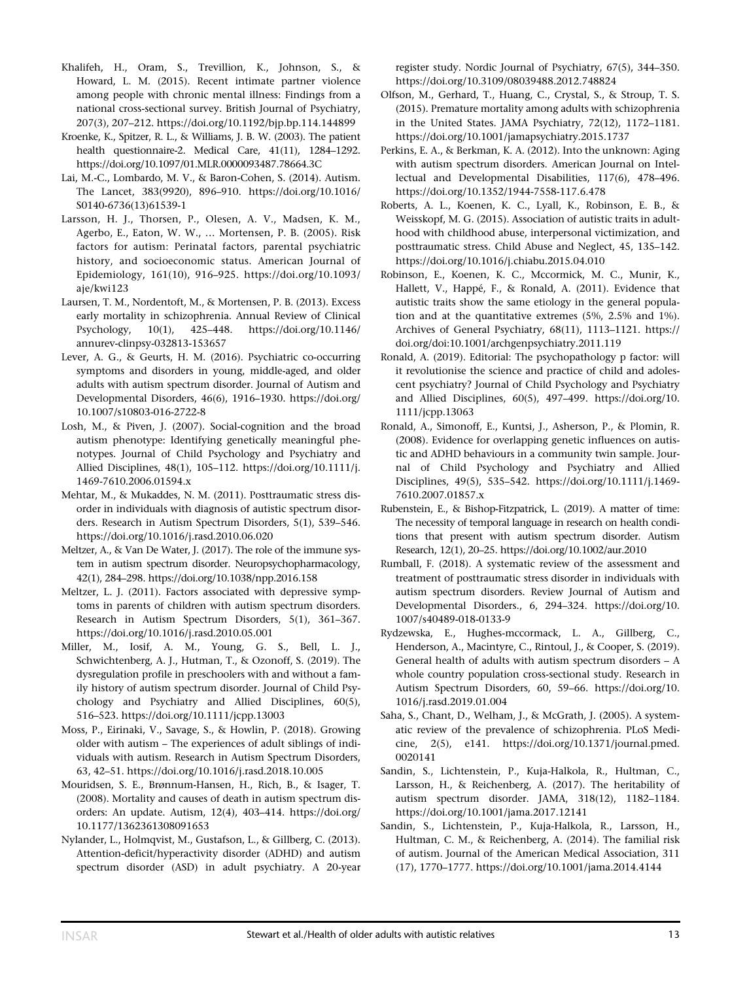- Khalifeh, H., Oram, S., Trevillion, K., Johnson, S., & Howard, L. M. (2015). Recent intimate partner violence among people with chronic mental illness: Findings from a national cross-sectional survey. British Journal of Psychiatry, 207(3), 207–212.<https://doi.org/10.1192/bjp.bp.114.144899>
- Kroenke, K., Spitzer, R. L., & Williams, J. B. W. (2003). The patient health questionnaire-2. Medical Care, 41(11), 1284–1292. <https://doi.org/10.1097/01.MLR.0000093487.78664.3C>
- Lai, M.-C., Lombardo, M. V., & Baron-Cohen, S. (2014). Autism. The Lancet, 383(9920), 896–910. [https://doi.org/10.1016/](https://doi.org/10.1016/S0140-6736(13)61539-1) [S0140-6736\(13\)61539-1](https://doi.org/10.1016/S0140-6736(13)61539-1)
- Larsson, H. J., Thorsen, P., Olesen, A. V., Madsen, K. M., Agerbo, E., Eaton, W. W., … Mortensen, P. B. (2005). Risk factors for autism: Perinatal factors, parental psychiatric history, and socioeconomic status. American Journal of Epidemiology, 161(10), 916–925. [https://doi.org/10.1093/](https://doi.org/10.1093/aje/kwi123) [aje/kwi123](https://doi.org/10.1093/aje/kwi123)
- Laursen, T. M., Nordentoft, M., & Mortensen, P. B. (2013). Excess early mortality in schizophrenia. Annual Review of Clinical Psychology, 10(1), 425–448. [https://doi.org/10.1146/](https://doi.org/10.1146/annurev-clinpsy-032813-153657) [annurev-clinpsy-032813-153657](https://doi.org/10.1146/annurev-clinpsy-032813-153657)
- Lever, A. G., & Geurts, H. M. (2016). Psychiatric co-occurring symptoms and disorders in young, middle-aged, and older adults with autism spectrum disorder. Journal of Autism and Developmental Disorders, 46(6), 1916–1930. [https://doi.org/](https://doi.org/10.1007/s10803-016-2722-8) [10.1007/s10803-016-2722-8](https://doi.org/10.1007/s10803-016-2722-8)
- Losh, M., & Piven, J. (2007). Social-cognition and the broad autism phenotype: Identifying genetically meaningful phenotypes. Journal of Child Psychology and Psychiatry and Allied Disciplines, 48(1), 105–112. [https://doi.org/10.1111/j.](https://doi.org/10.1111/j.1469-7610.2006.01594.x) [1469-7610.2006.01594.x](https://doi.org/10.1111/j.1469-7610.2006.01594.x)
- Mehtar, M., & Mukaddes, N. M. (2011). Posttraumatic stress disorder in individuals with diagnosis of autistic spectrum disorders. Research in Autism Spectrum Disorders, 5(1), 539–546. <https://doi.org/10.1016/j.rasd.2010.06.020>
- Meltzer, A., & Van De Water, J. (2017). The role of the immune system in autism spectrum disorder. Neuropsychopharmacology, 42(1), 284–298.<https://doi.org/10.1038/npp.2016.158>
- Meltzer, L. J. (2011). Factors associated with depressive symptoms in parents of children with autism spectrum disorders. Research in Autism Spectrum Disorders, 5(1), 361–367. <https://doi.org/10.1016/j.rasd.2010.05.001>
- Miller, M., Iosif, A. M., Young, G. S., Bell, L. J., Schwichtenberg, A. J., Hutman, T., & Ozonoff, S. (2019). The dysregulation profile in preschoolers with and without a family history of autism spectrum disorder. Journal of Child Psychology and Psychiatry and Allied Disciplines, 60(5), 516–523.<https://doi.org/10.1111/jcpp.13003>
- Moss, P., Eirinaki, V., Savage, S., & Howlin, P. (2018). Growing older with autism – The experiences of adult siblings of individuals with autism. Research in Autism Spectrum Disorders, 63, 42–51.<https://doi.org/10.1016/j.rasd.2018.10.005>
- Mouridsen, S. E., Brønnum-Hansen, H., Rich, B., & Isager, T. (2008). Mortality and causes of death in autism spectrum disorders: An update. Autism, 12(4), 403–414. [https://doi.org/](https://doi.org/10.1177/1362361308091653) [10.1177/1362361308091653](https://doi.org/10.1177/1362361308091653)
- Nylander, L., Holmqvist, M., Gustafson, L., & Gillberg, C. (2013). Attention-deficit/hyperactivity disorder (ADHD) and autism spectrum disorder (ASD) in adult psychiatry. A 20-year

register study. Nordic Journal of Psychiatry, 67(5), 344–350. <https://doi.org/10.3109/08039488.2012.748824>

- Olfson, M., Gerhard, T., Huang, C., Crystal, S., & Stroup, T. S. (2015). Premature mortality among adults with schizophrenia in the United States. JAMA Psychiatry, 72(12), 1172–1181. <https://doi.org/10.1001/jamapsychiatry.2015.1737>
- Perkins, E. A., & Berkman, K. A. (2012). Into the unknown: Aging with autism spectrum disorders. American Journal on Intellectual and Developmental Disabilities, 117(6), 478–496. <https://doi.org/10.1352/1944-7558-117.6.478>
- Roberts, A. L., Koenen, K. C., Lyall, K., Robinson, E. B., & Weisskopf, M. G. (2015). Association of autistic traits in adulthood with childhood abuse, interpersonal victimization, and posttraumatic stress. Child Abuse and Neglect, 45, 135–142. <https://doi.org/10.1016/j.chiabu.2015.04.010>
- Robinson, E., Koenen, K. C., Mccormick, M. C., Munir, K., Hallett, V., Happé, F., & Ronald, A. (2011). Evidence that autistic traits show the same etiology in the general population and at the quantitative extremes (5%, 2.5% and 1%). Archives of General Psychiatry, 68(11), 1113–1121. [https://](https://doi.org/doi:10.1001/archgenpsychiatry.2011.119) [doi.org/doi:10.1001/archgenpsychiatry.2011.119](https://doi.org/doi:10.1001/archgenpsychiatry.2011.119)
- Ronald, A. (2019). Editorial: The psychopathology p factor: will it revolutionise the science and practice of child and adolescent psychiatry? Journal of Child Psychology and Psychiatry and Allied Disciplines, 60(5), 497–499. [https://doi.org/10.](https://doi.org/10.1111/jcpp.13063) [1111/jcpp.13063](https://doi.org/10.1111/jcpp.13063)
- Ronald, A., Simonoff, E., Kuntsi, J., Asherson, P., & Plomin, R. (2008). Evidence for overlapping genetic influences on autistic and ADHD behaviours in a community twin sample. Journal of Child Psychology and Psychiatry and Allied Disciplines, 49(5), 535–542. [https://doi.org/10.1111/j.1469-](https://doi.org/10.1111/j.1469-7610.2007.01857.x) [7610.2007.01857.x](https://doi.org/10.1111/j.1469-7610.2007.01857.x)
- Rubenstein, E., & Bishop-Fitzpatrick, L. (2019). A matter of time: The necessity of temporal language in research on health conditions that present with autism spectrum disorder. Autism Research, 12(1), 20–25.<https://doi.org/10.1002/aur.2010>
- Rumball, F. (2018). A systematic review of the assessment and treatment of posttraumatic stress disorder in individuals with autism spectrum disorders. Review Journal of Autism and Developmental Disorders., 6, 294–324. [https://doi.org/10.](https://doi.org/10.1007/s40489-018-0133-9) [1007/s40489-018-0133-9](https://doi.org/10.1007/s40489-018-0133-9)
- Rydzewska, E., Hughes-mccormack, L. A., Gillberg, C., Henderson, A., Macintyre, C., Rintoul, J., & Cooper, S. (2019). General health of adults with autism spectrum disorders – A whole country population cross-sectional study. Research in Autism Spectrum Disorders, 60, 59–66. [https://doi.org/10.](https://doi.org/10.1016/j.rasd.2019.01.004) [1016/j.rasd.2019.01.004](https://doi.org/10.1016/j.rasd.2019.01.004)
- Saha, S., Chant, D., Welham, J., & McGrath, J. (2005). A systematic review of the prevalence of schizophrenia. PLoS Medicine, 2(5), e141. [https://doi.org/10.1371/journal.pmed.](https://doi.org/10.1371/journal.pmed.0020141) [0020141](https://doi.org/10.1371/journal.pmed.0020141)
- Sandin, S., Lichtenstein, P., Kuja-Halkola, R., Hultman, C., Larsson, H., & Reichenberg, A. (2017). The heritability of autism spectrum disorder. JAMA, 318(12), 1182–1184. <https://doi.org/10.1001/jama.2017.12141>
- Sandin, S., Lichtenstein, P., Kuja-Halkola, R., Larsson, H., Hultman, C. M., & Reichenberg, A. (2014). The familial risk of autism. Journal of the American Medical Association, 311 (17), 1770–1777.<https://doi.org/10.1001/jama.2014.4144>